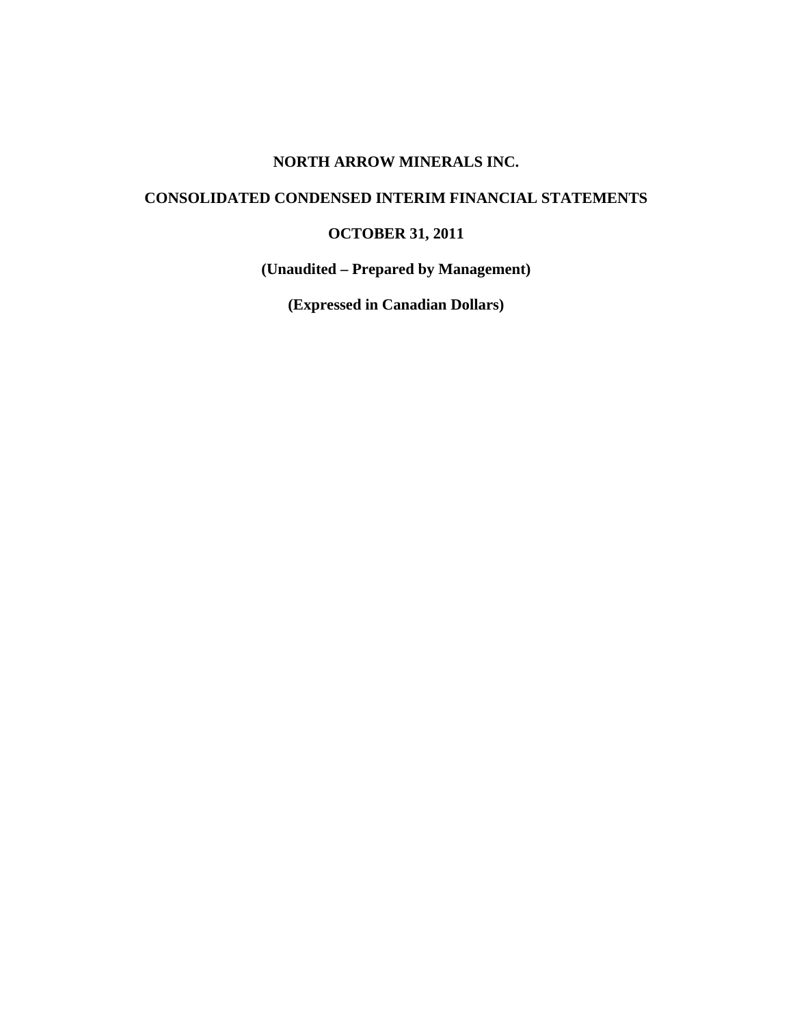# **NORTH ARROW MINERALS INC.**

# **CONSOLIDATED CONDENSED INTERIM FINANCIAL STATEMENTS**

# **OCTOBER 31, 2011**

**(Unaudited – Prepared by Management)** 

**(Expressed in Canadian Dollars)**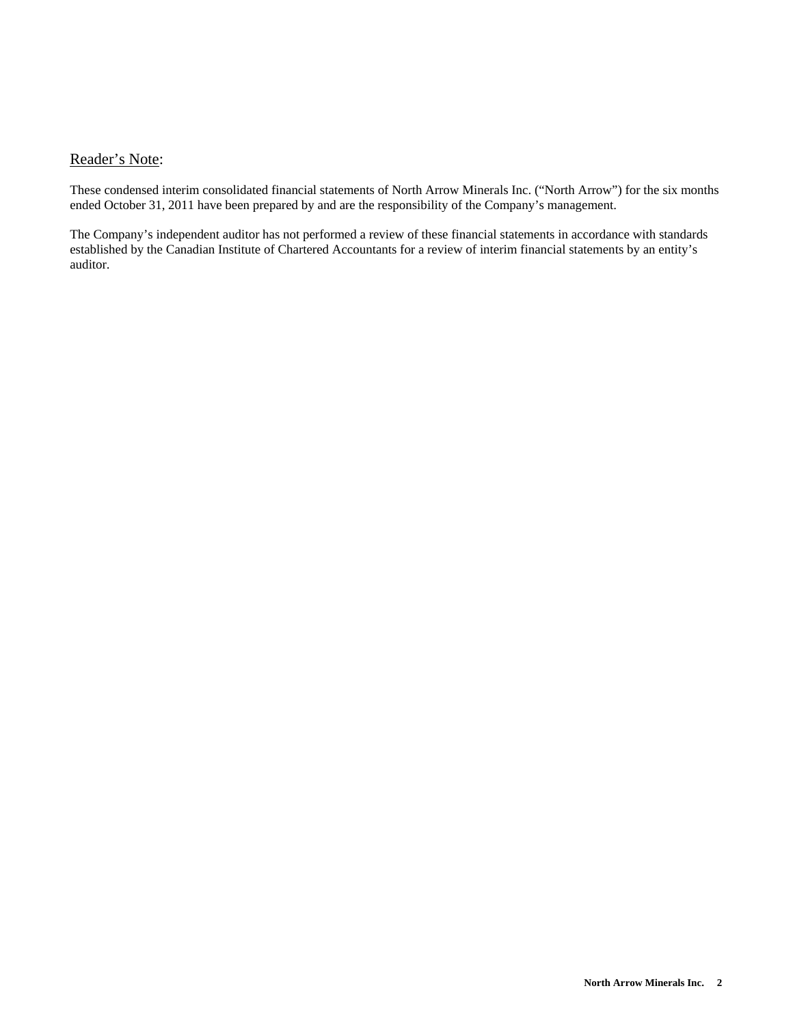# Reader's Note:

These condensed interim consolidated financial statements of North Arrow Minerals Inc. ("North Arrow") for the six months ended October 31, 2011 have been prepared by and are the responsibility of the Company's management.

The Company's independent auditor has not performed a review of these financial statements in accordance with standards established by the Canadian Institute of Chartered Accountants for a review of interim financial statements by an entity's auditor.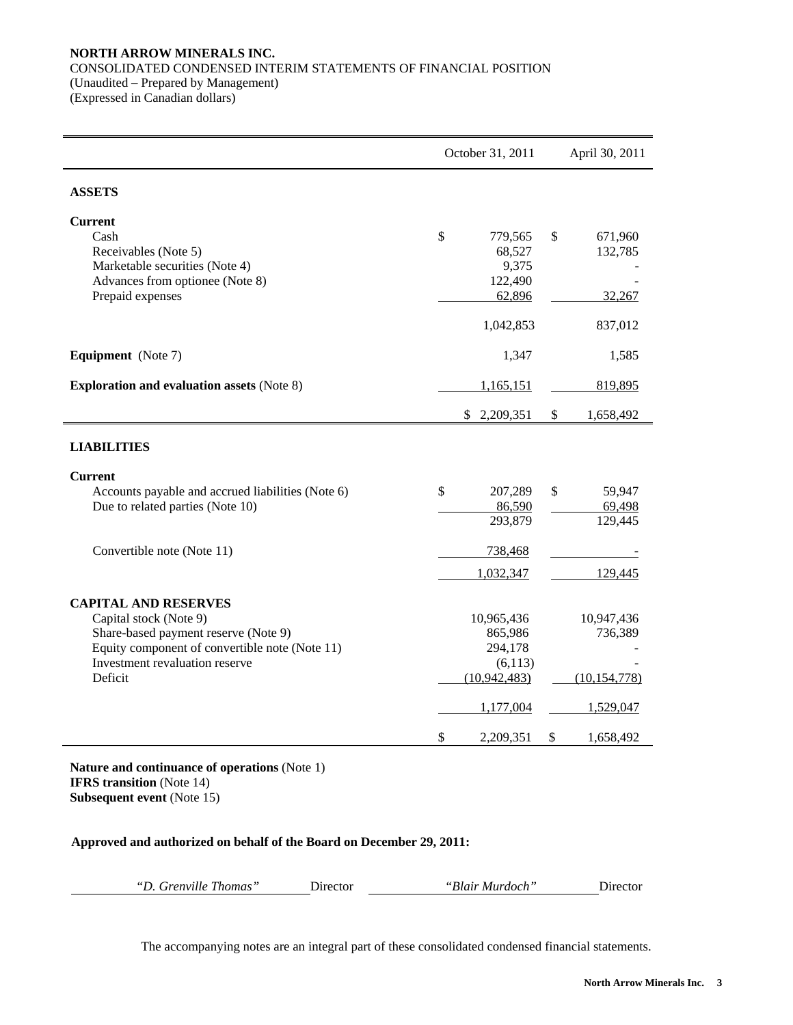# **NORTH ARROW MINERALS INC.**  CONSOLIDATED CONDENSED INTERIM STATEMENTS OF FINANCIAL POSITION (Unaudited – Prepared by Management)

(Expressed in Canadian dollars)

|                                                                   | October 31, 2011 | April 30, 2011  |
|-------------------------------------------------------------------|------------------|-----------------|
| <b>ASSETS</b>                                                     |                  |                 |
| <b>Current</b>                                                    |                  |                 |
| Cash                                                              | \$<br>779,565    | \$<br>671,960   |
| Receivables (Note 5)                                              | 68,527           | 132,785         |
| Marketable securities (Note 4)<br>Advances from optionee (Note 8) | 9,375<br>122,490 |                 |
| Prepaid expenses                                                  | 62,896           | 32,267          |
|                                                                   | 1,042,853        | 837,012         |
| <b>Equipment</b> (Note 7)                                         | 1,347            | 1,585           |
| <b>Exploration and evaluation assets (Note 8)</b>                 | 1,165,151        | 819,895         |
|                                                                   | \$<br>2,209,351  | \$<br>1,658,492 |
| <b>LIABILITIES</b>                                                |                  |                 |
| <b>Current</b>                                                    |                  |                 |
| Accounts payable and accrued liabilities (Note 6)                 | \$<br>207,289    | \$<br>59,947    |
| Due to related parties (Note 10)                                  | 86,590           | 69,498          |
|                                                                   | 293,879          | 129,445         |
| Convertible note (Note 11)                                        | 738,468          |                 |
|                                                                   | 1,032,347        | 129,445         |
| <b>CAPITAL AND RESERVES</b>                                       |                  |                 |
| Capital stock (Note 9)                                            | 10,965,436       | 10,947,436      |
| Share-based payment reserve (Note 9)                              | 865,986          | 736,389         |
| Equity component of convertible note (Note 11)                    | 294,178          |                 |
| Investment revaluation reserve                                    | (6,113)          |                 |
| Deficit                                                           | (10, 942, 483)   | (10, 154, 778)  |
|                                                                   | 1,177,004        | 1,529,047       |
|                                                                   | \$<br>2,209,351  | \$<br>1,658,492 |

**Nature and continuance of operations** (Note 1) **IFRS transition** (Note 14) **Subsequent event** (Note 15)

# **Approved and authorized on behalf of the Board on December 29, 2011:**

| "D. Grenville Thomas"<br>"Blair Murdoch"<br><b>Director</b> | $D$ irector |
|-------------------------------------------------------------|-------------|
|-------------------------------------------------------------|-------------|

The accompanying notes are an integral part of these consolidated condensed financial statements.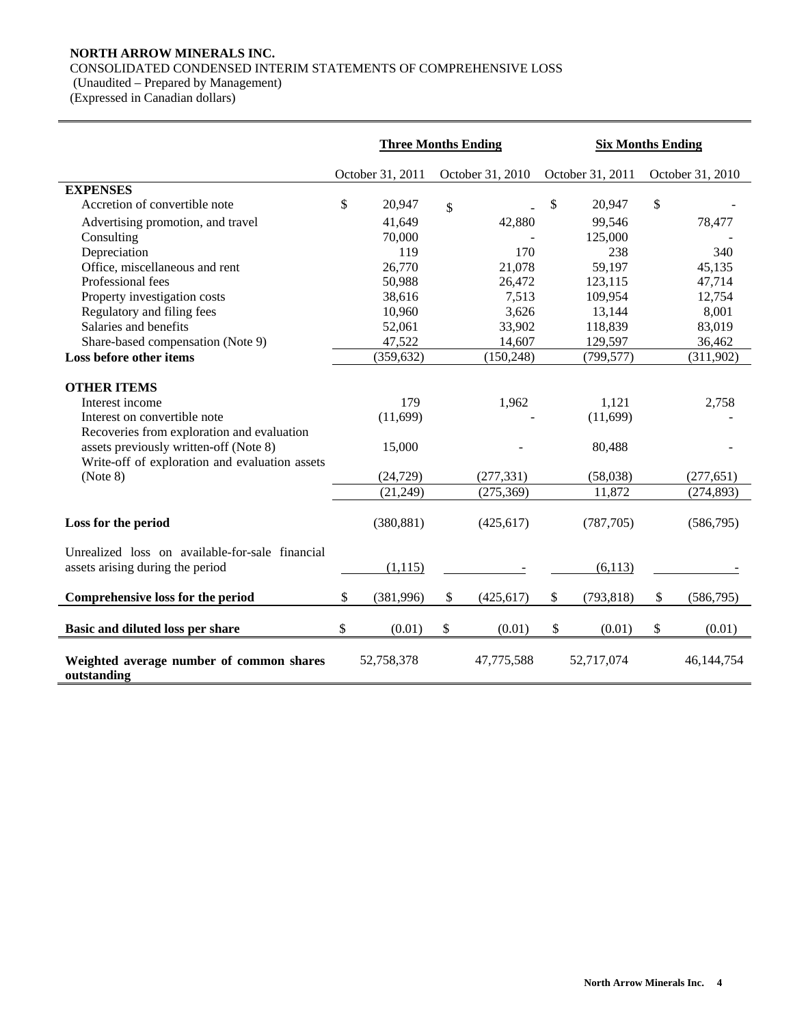# **NORTH ARROW MINERALS INC.**

# CONSOLIDATED CONDENSED INTERIM STATEMENTS OF COMPREHENSIVE LOSS

(Unaudited – Prepared by Management)

(Expressed in Canadian dollars)

|                                                                                                                                                                                                                             | <b>Three Months Ending</b><br><b>Six Months Ending</b> |                                                     |        |                                   |    |                                                   |    |                                   |
|-----------------------------------------------------------------------------------------------------------------------------------------------------------------------------------------------------------------------------|--------------------------------------------------------|-----------------------------------------------------|--------|-----------------------------------|----|---------------------------------------------------|----|-----------------------------------|
|                                                                                                                                                                                                                             |                                                        | October 31, 2011                                    |        | October 31, 2010                  |    | October 31, 2011                                  |    | October 31, 2010                  |
| <b>EXPENSES</b>                                                                                                                                                                                                             |                                                        |                                                     |        |                                   |    |                                                   |    |                                   |
| Accretion of convertible note                                                                                                                                                                                               | \$                                                     | 20,947                                              | \$     |                                   | \$ | 20,947                                            | \$ |                                   |
| Advertising promotion, and travel                                                                                                                                                                                           |                                                        | 41,649                                              |        | 42,880                            |    | 99,546                                            |    | 78,477                            |
| Consulting                                                                                                                                                                                                                  |                                                        | 70,000                                              |        |                                   |    | 125,000                                           |    |                                   |
| Depreciation                                                                                                                                                                                                                |                                                        | 119                                                 |        | 170                               |    | 238                                               |    | 340                               |
| Office, miscellaneous and rent                                                                                                                                                                                              |                                                        | 26,770                                              |        | 21,078                            |    | 59,197                                            |    | 45,135                            |
| Professional fees                                                                                                                                                                                                           |                                                        | 50,988                                              |        | 26,472                            |    | 123,115                                           |    | 47,714                            |
| Property investigation costs                                                                                                                                                                                                |                                                        | 38,616                                              |        | 7,513                             |    | 109,954                                           |    | 12,754                            |
| Regulatory and filing fees                                                                                                                                                                                                  |                                                        | 10,960                                              |        | 3,626                             |    | 13,144                                            |    | 8,001                             |
| Salaries and benefits                                                                                                                                                                                                       |                                                        | 52,061                                              |        | 33,902                            |    | 118,839                                           |    | 83,019                            |
| Share-based compensation (Note 9)                                                                                                                                                                                           |                                                        | 47,522                                              |        | 14,607                            |    | 129,597                                           |    | 36,462                            |
| Loss before other items                                                                                                                                                                                                     |                                                        | (359, 632)                                          |        | (150, 248)                        |    | (799, 577)                                        |    | (311,902)                         |
| <b>OTHER ITEMS</b><br>Interest income<br>Interest on convertible note<br>Recoveries from exploration and evaluation<br>assets previously written-off (Note 8)<br>Write-off of exploration and evaluation assets<br>(Note 8) |                                                        | 179<br>(11,699)<br>15,000<br>(24, 729)<br>(21, 249) |        | 1,962<br>(277, 331)<br>(275, 369) |    | 1,121<br>(11,699)<br>80,488<br>(58,038)<br>11,872 |    | 2,758<br>(277, 651)<br>(274, 893) |
| Loss for the period                                                                                                                                                                                                         |                                                        | (380, 881)                                          |        | (425, 617)                        |    | (787,705)                                         |    | (586,795)                         |
| Unrealized loss on available-for-sale financial<br>assets arising during the period                                                                                                                                         |                                                        | (1,115)                                             |        |                                   |    | (6,113)                                           |    |                                   |
| Comprehensive loss for the period                                                                                                                                                                                           | \$                                                     | (381,996)                                           | \$     | (425, 617)                        | \$ | (793, 818)                                        | \$ | (586,795)                         |
| Basic and diluted loss per share                                                                                                                                                                                            | \$                                                     | (0.01)                                              | $\$\,$ | (0.01)                            | \$ | (0.01)                                            | \$ | (0.01)                            |
| Weighted average number of common shares<br>outstanding                                                                                                                                                                     |                                                        | 52,758,378                                          |        | 47,775,588                        |    | 52,717,074                                        |    | 46,144,754                        |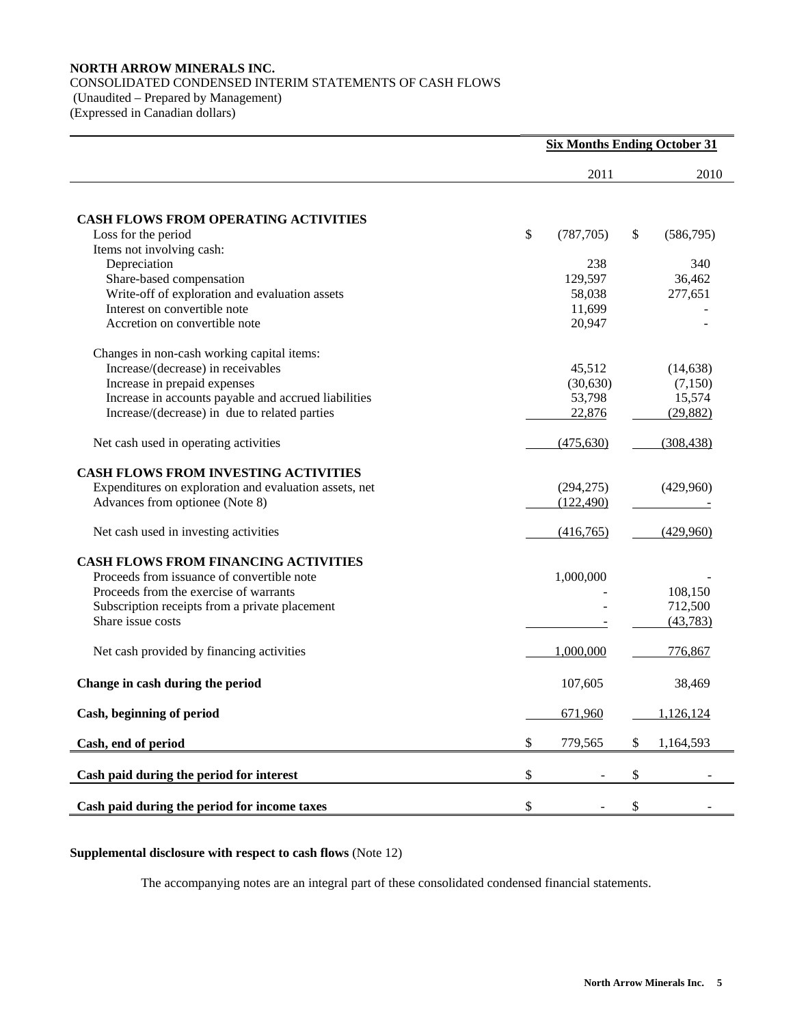# **NORTH ARROW MINERALS INC.**  CONSOLIDATED CONDENSED INTERIM STATEMENTS OF CASH FLOWS (Unaudited – Prepared by Management) (Expressed in Canadian dollars)

|                                                        | <b>Six Months Ending October 31</b> |                 |
|--------------------------------------------------------|-------------------------------------|-----------------|
|                                                        | 2011                                | 2010            |
| <b>CASH FLOWS FROM OPERATING ACTIVITIES</b>            |                                     |                 |
| Loss for the period                                    | \$<br>(787, 705)                    | \$<br>(586,795) |
| Items not involving cash:                              |                                     |                 |
| Depreciation                                           | 238                                 | 340             |
| Share-based compensation                               | 129,597                             | 36,462          |
| Write-off of exploration and evaluation assets         | 58,038                              | 277,651         |
| Interest on convertible note                           | 11,699                              |                 |
| Accretion on convertible note                          | 20,947                              |                 |
| Changes in non-cash working capital items:             |                                     |                 |
| Increase/(decrease) in receivables                     | 45,512                              | (14, 638)       |
| Increase in prepaid expenses                           | (30, 630)                           | (7,150)         |
| Increase in accounts payable and accrued liabilities   | 53,798                              | 15,574          |
| Increase/(decrease) in due to related parties          | 22,876                              | (29, 882)       |
| Net cash used in operating activities                  | (475, 630)                          | (308, 438)      |
| <b>CASH FLOWS FROM INVESTING ACTIVITIES</b>            |                                     |                 |
| Expenditures on exploration and evaluation assets, net | (294, 275)                          | (429,960)       |
| Advances from optionee (Note 8)                        | (122, 490)                          |                 |
| Net cash used in investing activities                  | (416,765)                           | (429,960)       |
| <b>CASH FLOWS FROM FINANCING ACTIVITIES</b>            |                                     |                 |
| Proceeds from issuance of convertible note             | 1,000,000                           |                 |
| Proceeds from the exercise of warrants                 |                                     | 108,150         |
| Subscription receipts from a private placement         |                                     | 712,500         |
| Share issue costs                                      |                                     | (43, 783)       |
| Net cash provided by financing activities              | 1,000,000                           | 776,867         |
| Change in cash during the period                       | 107,605                             | 38,469          |
| Cash, beginning of period                              | 671,960                             | 1,126,124       |
| Cash, end of period                                    | \$<br>779,565                       | \$<br>1,164,593 |
| Cash paid during the period for interest               | \$                                  | \$              |
|                                                        |                                     |                 |
| Cash paid during the period for income taxes           | \$                                  | \$              |

# **Supplemental disclosure with respect to cash flows** (Note 12)

The accompanying notes are an integral part of these consolidated condensed financial statements.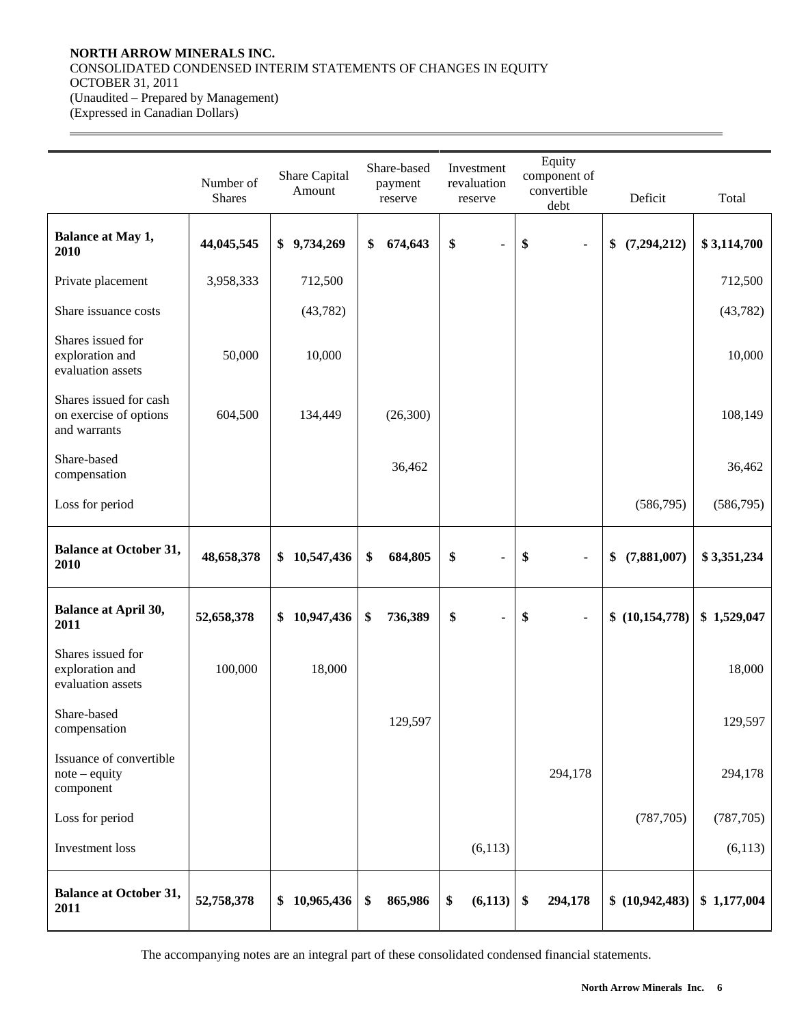# **NORTH ARROW MINERALS INC.**  CONSOLIDATED CONDENSED INTERIM STATEMENTS OF CHANGES IN EQUITY OCTOBER 31, 2011 (Unaudited – Prepared by Management) (Expressed in Canadian Dollars)

 $\overline{a}$ 

|                                                                  | Number of<br><b>Shares</b> | Share Capital<br>Amount | Share-based<br>payment<br>reserve | Investment<br>revaluation<br>reserve | Equity<br>component of<br>convertible<br>debt | Deficit             | Total       |
|------------------------------------------------------------------|----------------------------|-------------------------|-----------------------------------|--------------------------------------|-----------------------------------------------|---------------------|-------------|
| <b>Balance at May 1,</b><br>2010                                 | 44,045,545                 | \$9,734,269             | \$<br>674,643                     | \$<br>٠                              | \$<br>$\blacksquare$                          | (7, 294, 212)<br>\$ | \$3,114,700 |
| Private placement                                                | 3,958,333                  | 712,500                 |                                   |                                      |                                               |                     | 712,500     |
| Share issuance costs                                             |                            | (43, 782)               |                                   |                                      |                                               |                     | (43, 782)   |
| Shares issued for<br>exploration and<br>evaluation assets        | 50,000                     | 10,000                  |                                   |                                      |                                               |                     | 10,000      |
| Shares issued for cash<br>on exercise of options<br>and warrants | 604,500                    | 134,449                 | (26,300)                          |                                      |                                               |                     | 108,149     |
| Share-based<br>compensation                                      |                            |                         | 36,462                            |                                      |                                               |                     | 36,462      |
| Loss for period                                                  |                            |                         |                                   |                                      |                                               | (586,795)           | (586,795)   |
| <b>Balance at October 31,</b><br>2010                            | 48,658,378                 | 10,547,436<br>\$        | \$<br>684,805                     | \$                                   | \$<br>$\blacksquare$                          | (7,881,007)<br>\$   | \$3,351,234 |
| <b>Balance at April 30,</b><br>2011                              | 52,658,378                 | 10,947,436<br>\$        | \$<br>736,389                     | \$<br>$\blacksquare$                 | \$<br>$\blacksquare$                          | \$(10,154,778)      | \$1,529,047 |
| Shares issued for<br>exploration and<br>evaluation assets        | 100,000                    | 18,000                  |                                   |                                      |                                               |                     | 18,000      |
| Share-based<br>compensation                                      |                            |                         | 129,597                           |                                      |                                               |                     | 129,597     |
| Issuance of convertible<br>$note - equity$<br>component          |                            |                         |                                   |                                      | 294,178                                       |                     | 294,178     |
| Loss for period                                                  |                            |                         |                                   |                                      |                                               | (787, 705)          | (787, 705)  |
| Investment loss                                                  |                            |                         |                                   | (6,113)                              |                                               |                     | (6,113)     |
| <b>Balance at October 31,</b><br>2011                            | 52,758,378                 | 10,965,436<br>\$        | \$<br>865,986                     | \$<br>(6,113)                        | \$<br>294,178                                 | \$(10, 942, 483)    | \$1,177,004 |

The accompanying notes are an integral part of these consolidated condensed financial statements.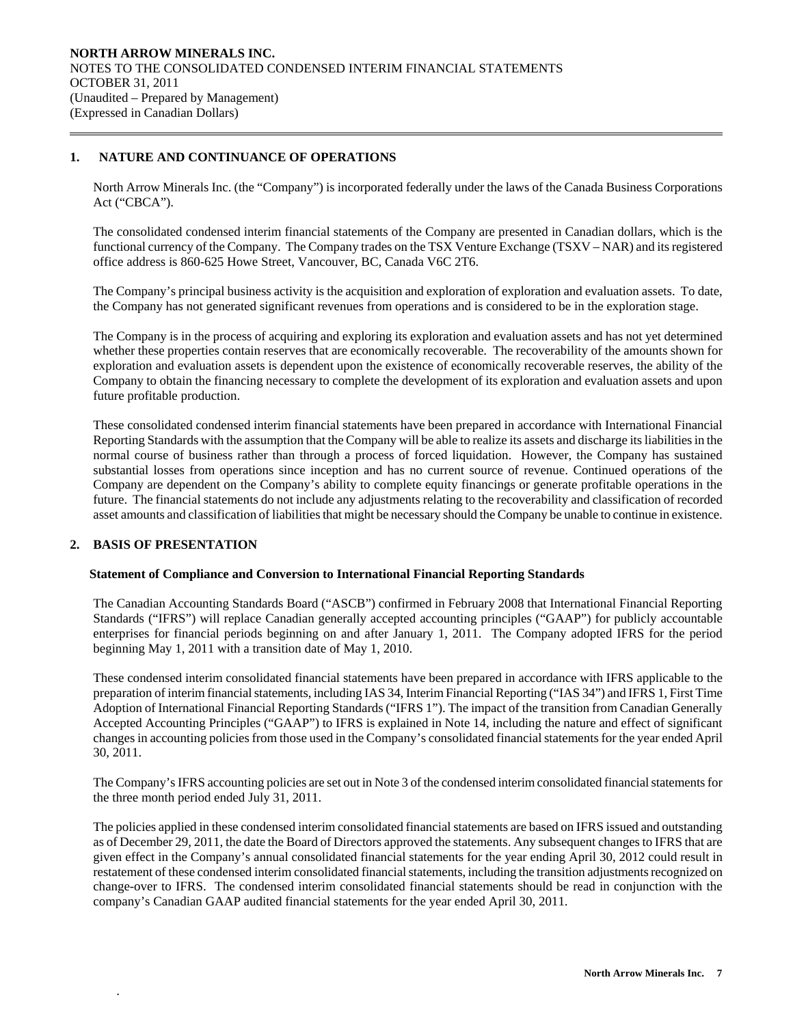# **1. NATURE AND CONTINUANCE OF OPERATIONS**

 $\overline{a}$ 

North Arrow Minerals Inc. (the "Company") is incorporated federally under the laws of the Canada Business Corporations Act ("CBCA").

The consolidated condensed interim financial statements of the Company are presented in Canadian dollars, which is the functional currency of the Company. The Company trades on the TSX Venture Exchange (TSXV – NAR) and its registered office address is 860-625 Howe Street, Vancouver, BC, Canada V6C 2T6.

 The Company's principal business activity is the acquisition and exploration of exploration and evaluation assets. To date, the Company has not generated significant revenues from operations and is considered to be in the exploration stage.

 The Company is in the process of acquiring and exploring its exploration and evaluation assets and has not yet determined whether these properties contain reserves that are economically recoverable. The recoverability of the amounts shown for exploration and evaluation assets is dependent upon the existence of economically recoverable reserves, the ability of the Company to obtain the financing necessary to complete the development of its exploration and evaluation assets and upon future profitable production.

These consolidated condensed interim financial statements have been prepared in accordance with International Financial Reporting Standards with the assumption that the Company will be able to realize its assets and discharge its liabilities in the normal course of business rather than through a process of forced liquidation. However, the Company has sustained substantial losses from operations since inception and has no current source of revenue. Continued operations of the Company are dependent on the Company's ability to complete equity financings or generate profitable operations in the future. The financial statements do not include any adjustments relating to the recoverability and classification of recorded asset amounts and classification of liabilities that might be necessary should the Company be unable to continue in existence.

# **2. BASIS OF PRESENTATION**

.

## **Statement of Compliance and Conversion to International Financial Reporting Standards**

The Canadian Accounting Standards Board ("ASCB") confirmed in February 2008 that International Financial Reporting Standards ("IFRS") will replace Canadian generally accepted accounting principles ("GAAP") for publicly accountable enterprises for financial periods beginning on and after January 1, 2011. The Company adopted IFRS for the period beginning May 1, 2011 with a transition date of May 1, 2010.

These condensed interim consolidated financial statements have been prepared in accordance with IFRS applicable to the preparation of interim financial statements, including IAS 34, Interim Financial Reporting ("IAS 34") and IFRS 1, First Time Adoption of International Financial Reporting Standards ("IFRS 1"). The impact of the transition from Canadian Generally Accepted Accounting Principles ("GAAP") to IFRS is explained in Note 14, including the nature and effect of significant changes in accounting policies from those used in the Company's consolidated financial statements for the year ended April 30, 2011.

The Company's IFRS accounting policies are set out in Note 3 of the condensed interim consolidated financial statements for the three month period ended July 31, 2011.

The policies applied in these condensed interim consolidated financial statements are based on IFRS issued and outstanding as of December 29, 2011, the date the Board of Directors approved the statements. Any subsequent changes to IFRS that are given effect in the Company's annual consolidated financial statements for the year ending April 30, 2012 could result in restatement of these condensed interim consolidated financial statements, including the transition adjustments recognized on change-over to IFRS. The condensed interim consolidated financial statements should be read in conjunction with the company's Canadian GAAP audited financial statements for the year ended April 30, 2011.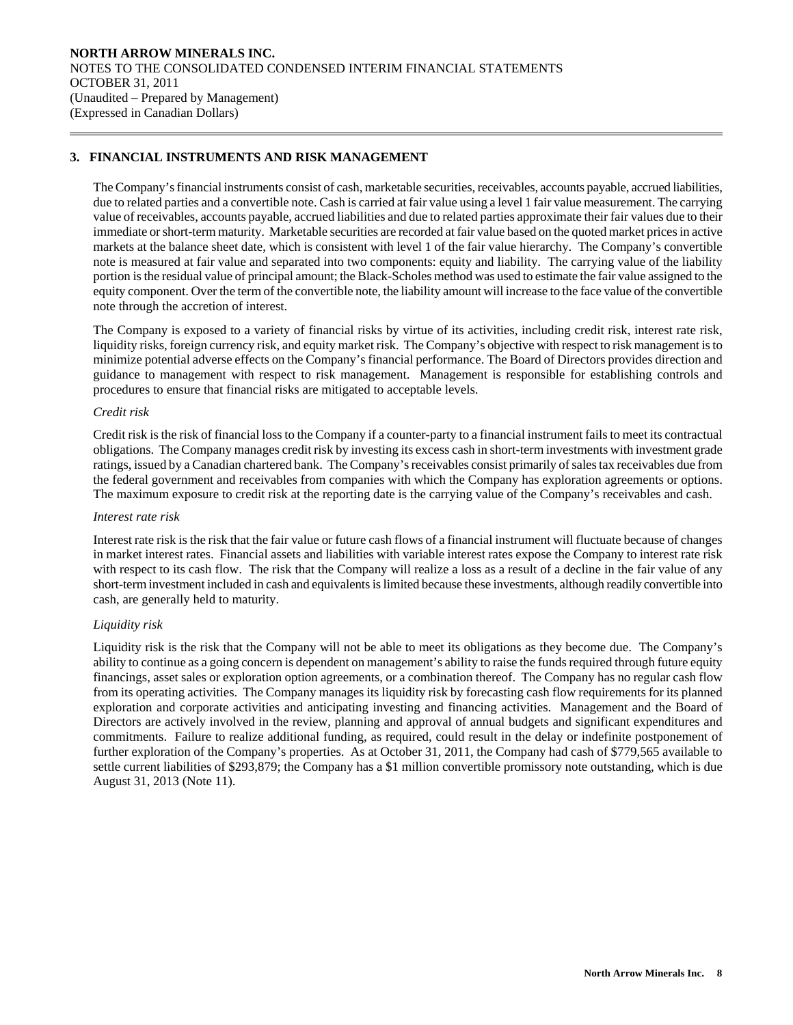# **3. FINANCIAL INSTRUMENTS AND RISK MANAGEMENT**

The Company's financial instruments consist of cash, marketable securities, receivables, accounts payable, accrued liabilities, due to related parties and a convertible note. Cash is carried at fair value using a level 1 fair value measurement. The carrying value of receivables, accounts payable, accrued liabilities and due to related parties approximate their fair values due to their immediate or short-term maturity. Marketable securities are recorded at fair value based on the quoted market prices in active markets at the balance sheet date, which is consistent with level 1 of the fair value hierarchy. The Company's convertible note is measured at fair value and separated into two components: equity and liability. The carrying value of the liability portion is the residual value of principal amount; the Black-Scholes method was used to estimate the fair value assigned to the equity component. Over the term of the convertible note, the liability amount will increase to the face value of the convertible note through the accretion of interest.

The Company is exposed to a variety of financial risks by virtue of its activities, including credit risk, interest rate risk, liquidity risks, foreign currency risk, and equity market risk. The Company's objective with respect to risk management is to minimize potential adverse effects on the Company's financial performance. The Board of Directors provides direction and guidance to management with respect to risk management. Management is responsible for establishing controls and procedures to ensure that financial risks are mitigated to acceptable levels.

## *Credit risk*

 $\overline{a}$ 

Credit risk is the risk of financial loss to the Company if a counter-party to a financial instrument fails to meet its contractual obligations. The Company manages credit risk by investing its excess cash in short-term investments with investment grade ratings, issued by a Canadian chartered bank. The Company's receivables consist primarily of sales tax receivables due from the federal government and receivables from companies with which the Company has exploration agreements or options. The maximum exposure to credit risk at the reporting date is the carrying value of the Company's receivables and cash.

## *Interest rate risk*

Interest rate risk is the risk that the fair value or future cash flows of a financial instrument will fluctuate because of changes in market interest rates. Financial assets and liabilities with variable interest rates expose the Company to interest rate risk with respect to its cash flow. The risk that the Company will realize a loss as a result of a decline in the fair value of any short-term investment included in cash and equivalents is limited because these investments, although readily convertible into cash, are generally held to maturity.

## *Liquidity risk*

Liquidity risk is the risk that the Company will not be able to meet its obligations as they become due. The Company's ability to continue as a going concern is dependent on management's ability to raise the funds required through future equity financings, asset sales or exploration option agreements, or a combination thereof. The Company has no regular cash flow from its operating activities. The Company manages its liquidity risk by forecasting cash flow requirements for its planned exploration and corporate activities and anticipating investing and financing activities. Management and the Board of Directors are actively involved in the review, planning and approval of annual budgets and significant expenditures and commitments. Failure to realize additional funding, as required, could result in the delay or indefinite postponement of further exploration of the Company's properties. As at October 31, 2011, the Company had cash of \$779,565 available to settle current liabilities of \$293,879; the Company has a \$1 million convertible promissory note outstanding, which is due August 31, 2013 (Note 11).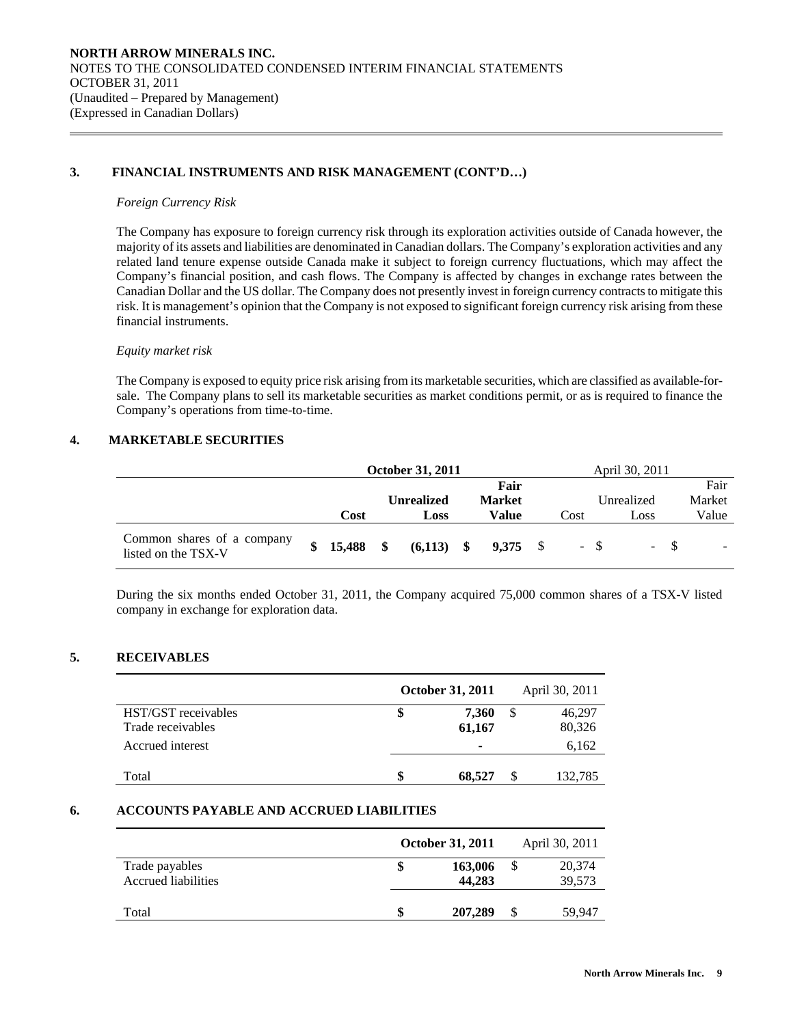# **3. FINANCIAL INSTRUMENTS AND RISK MANAGEMENT (CONT'D…)**

### *Foreign Currency Risk*

 $\overline{a}$ 

 The Company has exposure to foreign currency risk through its exploration activities outside of Canada however, the majority of its assets and liabilities are denominated in Canadian dollars. The Company's exploration activities and any related land tenure expense outside Canada make it subject to foreign currency fluctuations, which may affect the Company's financial position, and cash flows. The Company is affected by changes in exchange rates between the Canadian Dollar and the US dollar. The Company does not presently invest in foreign currency contracts to mitigate this risk. It is management's opinion that the Company is not exposed to significant foreign currency risk arising from these financial instruments.

## *Equity market risk*

The Company is exposed to equity price risk arising from its marketable securities, which are classified as available-forsale. The Company plans to sell its marketable securities as market conditions permit, or as is required to finance the Company's operations from time-to-time.

## **4. MARKETABLE SECURITIES**

|                                                   | <b>October 31, 2011</b> |             |  |                       |  |               | April 30, 2011 |      |       |            |  |          |
|---------------------------------------------------|-------------------------|-------------|--|-----------------------|--|---------------|----------------|------|-------|------------|--|----------|
|                                                   |                         | Fair        |  |                       |  |               |                |      |       |            |  | Fair     |
|                                                   |                         |             |  | <b>Unrealized</b>     |  | <b>Market</b> |                |      |       | Unrealized |  | Market   |
|                                                   |                         | Cost        |  | Loss                  |  | Value         |                | Cost |       | Loss       |  | Value    |
| Common shares of a company<br>listed on the TSX-V | $\mathbf{s}$            | $15,488$ \$ |  | $(6,113)$ \$ 9,375 \$ |  |               |                |      | $-$ S | - 8        |  | $\equiv$ |

During the six months ended October 31, 2011, the Company acquired 75,000 common shares of a TSX-V listed company in exchange for exploration data.

## **5. RECEIVABLES**

|                     |   | October 31, 2011 |    | April 30, 2011 |
|---------------------|---|------------------|----|----------------|
| HST/GST receivables | Œ | 7,360            | \$ | 46,297         |
| Trade receivables   |   | 61,167           |    | 80,326         |
| Accrued interest    |   | -                |    | 6,162          |
|                     |   |                  |    |                |
| Total               |   | 68.527           | S  | 132,785        |

# **6. ACCOUNTS PAYABLE AND ACCRUED LIABILITIES**

|                                       | <b>October 31, 2011</b> | April 30, 2011   |
|---------------------------------------|-------------------------|------------------|
| Trade payables<br>Accrued liabilities | 163,006<br>44,283       | 20,374<br>39,573 |
| Total                                 | 207,289                 | \$<br>59,947     |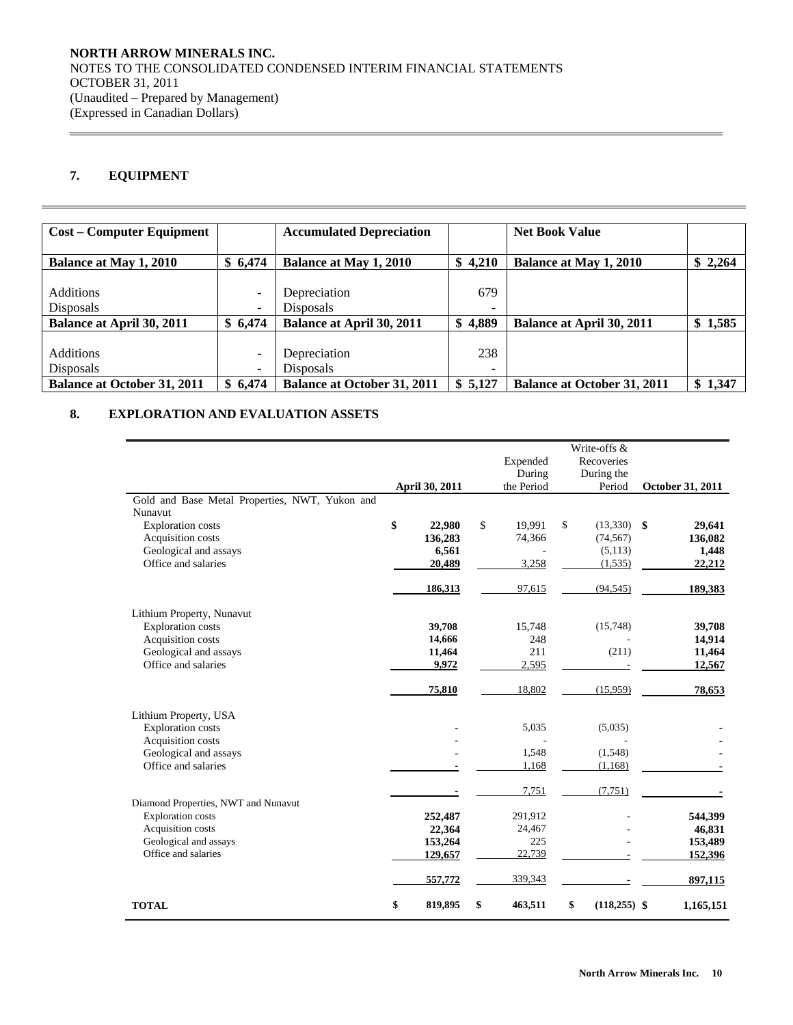# **7. EQUIPMENT**

 $\overline{a}$ 

| <b>Cost – Computer Equipment</b>   |                          | <b>Accumulated Depreciation</b>    |         | <b>Net Book Value</b>              |         |
|------------------------------------|--------------------------|------------------------------------|---------|------------------------------------|---------|
|                                    |                          |                                    |         |                                    |         |
| <b>Balance at May 1, 2010</b>      | \$6,474                  | Balance at May 1, 2010             | \$4,210 | <b>Balance at May 1, 2010</b>      | \$2,264 |
|                                    |                          |                                    |         |                                    |         |
| <b>Additions</b>                   | $\overline{\phantom{a}}$ | Depreciation                       | 679     |                                    |         |
| <b>Disposals</b>                   | $\overline{\phantom{a}}$ | <b>Disposals</b>                   |         |                                    |         |
| <b>Balance at April 30, 2011</b>   | \$6,474                  | <b>Balance at April 30, 2011</b>   | \$4,889 | <b>Balance at April 30, 2011</b>   | 1,585   |
|                                    |                          |                                    |         |                                    |         |
| <b>Additions</b>                   | $\overline{\phantom{0}}$ | Depreciation                       | 238     |                                    |         |
| <b>Disposals</b>                   | $\overline{\phantom{a}}$ | Disposals                          | -       |                                    |         |
| <b>Balance at October 31, 2011</b> | \$6.474                  | <b>Balance at October 31, 2011</b> | \$5,127 | <b>Balance at October 31, 2011</b> | \$1,347 |

# **8. EXPLORATION AND EVALUATION ASSETS**

| Gold and Base Metal Properties, NWT, Yukon and | April 30, 2011 | Expended<br>During<br>the Period | Write-offs &<br>Recoveries<br>During the<br>Period | October 31, 2011 |
|------------------------------------------------|----------------|----------------------------------|----------------------------------------------------|------------------|
| Nunavut                                        |                |                                  |                                                    |                  |
| <b>Exploration costs</b>                       | \$<br>22,980   | \$<br>19,991                     | \$<br>$(13,330)$ \$                                | 29,641           |
| Acquisition costs                              | 136,283        | 74,366                           | (74, 567)                                          | 136,082          |
| Geological and assays                          | 6,561          |                                  | (5, 113)                                           | 1,448            |
| Office and salaries                            | 20,489         | 3,258                            | (1,535)                                            | 22,212           |
|                                                | 186,313        | 97,615                           | (94, 545)                                          | 189,383          |
| Lithium Property, Nunavut                      |                |                                  |                                                    |                  |
| <b>Exploration costs</b>                       | 39,708         | 15,748                           | (15,748)                                           | 39,708           |
| Acquisition costs                              | 14,666         | 248                              |                                                    | 14,914           |
| Geological and assays                          | 11,464         | 211                              | (211)                                              | 11,464           |
| Office and salaries                            | 9,972          | 2,595                            |                                                    | 12,567           |
|                                                | 75,810         | 18,802                           | (15,959)                                           | 78,653           |
| Lithium Property, USA                          |                |                                  |                                                    |                  |
| <b>Exploration costs</b>                       |                | 5,035                            | (5,035)                                            |                  |
| Acquisition costs                              |                |                                  |                                                    |                  |
| Geological and assays                          |                | 1,548                            | (1,548)                                            |                  |
| Office and salaries                            |                | 1,168                            | (1,168)                                            |                  |
| Diamond Properties, NWT and Nunavut            |                | 7,751                            | (7,751)                                            |                  |
| <b>Exploration</b> costs                       | 252,487        | 291,912                          |                                                    | 544,399          |
| Acquisition costs                              | 22,364         | 24,467                           |                                                    | 46,831           |
| Geological and assays                          | 153,264        | 225                              |                                                    | 153,489          |
| Office and salaries                            | 129,657        | 22,739                           |                                                    | 152,396          |
|                                                | 557,772        | 339,343                          |                                                    | 897,115          |
| <b>TOTAL</b>                                   | \$<br>819,895  | \$<br>463,511                    | \$<br>$(118,255)$ \$                               | 1,165,151        |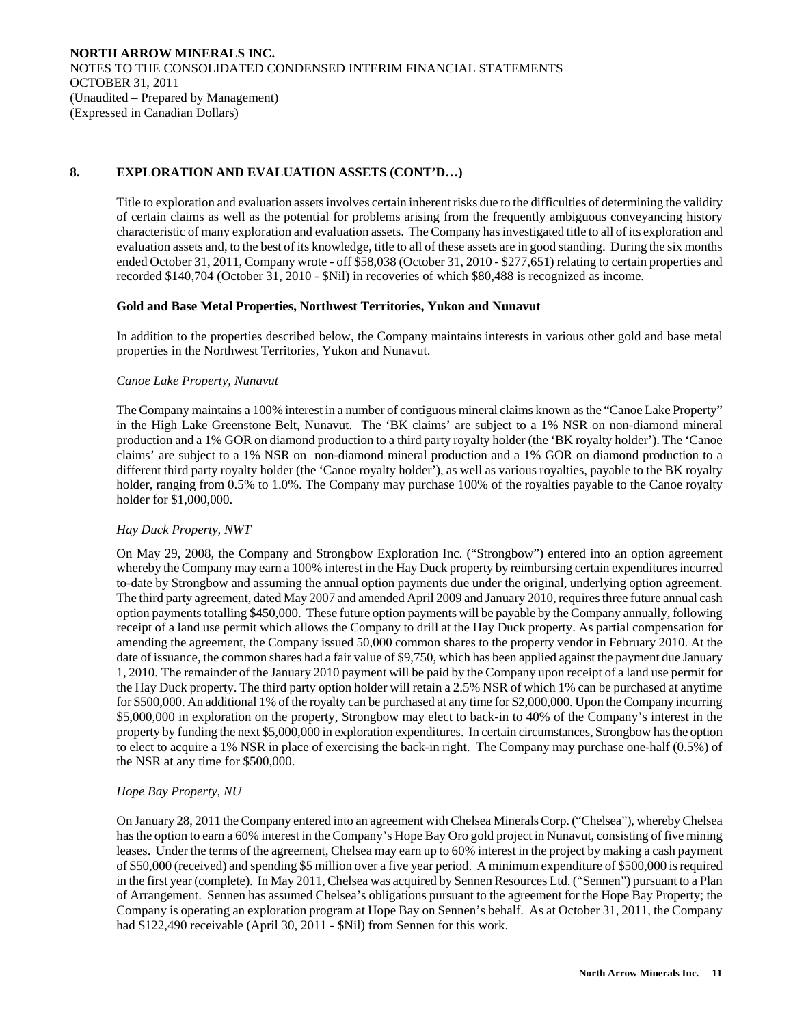# **8. EXPLORATION AND EVALUATION ASSETS (CONT'D…)**

 Title to exploration and evaluation assets involves certain inherent risks due to the difficulties of determining the validity of certain claims as well as the potential for problems arising from the frequently ambiguous conveyancing history characteristic of many exploration and evaluation assets. The Company has investigated title to all of its exploration and evaluation assets and, to the best of its knowledge, title to all of these assets are in good standing. During the six months ended October 31, 2011, Company wrote - off \$58,038 (October 31, 2010 - \$277,651) relating to certain properties and recorded \$140,704 (October 31, 2010 - \$Nil) in recoveries of which \$80,488 is recognized as income.

## **Gold and Base Metal Properties, Northwest Territories, Yukon and Nunavut**

In addition to the properties described below, the Company maintains interests in various other gold and base metal properties in the Northwest Territories, Yukon and Nunavut.

# *Canoe Lake Property, Nunavut*

 $\overline{a}$ 

The Company maintains a 100% interest in a number of contiguous mineral claims known as the "Canoe Lake Property" in the High Lake Greenstone Belt, Nunavut. The 'BK claims' are subject to a 1% NSR on non-diamond mineral production and a 1% GOR on diamond production to a third party royalty holder (the 'BK royalty holder'). The 'Canoe claims' are subject to a 1% NSR on non-diamond mineral production and a 1% GOR on diamond production to a different third party royalty holder (the 'Canoe royalty holder'), as well as various royalties, payable to the BK royalty holder, ranging from 0.5% to 1.0%. The Company may purchase 100% of the royalties payable to the Canoe royalty holder for \$1,000,000.

# *Hay Duck Property, NWT*

On May 29, 2008, the Company and Strongbow Exploration Inc. ("Strongbow") entered into an option agreement whereby the Company may earn a 100% interest in the Hay Duck property by reimbursing certain expenditures incurred to-date by Strongbow and assuming the annual option payments due under the original, underlying option agreement. The third party agreement, dated May 2007 and amended April 2009 and January 2010, requires three future annual cash option payments totalling \$450,000. These future option payments will be payable by the Company annually, following receipt of a land use permit which allows the Company to drill at the Hay Duck property. As partial compensation for amending the agreement, the Company issued 50,000 common shares to the property vendor in February 2010. At the date of issuance, the common shares had a fair value of \$9,750, which has been applied against the payment due January 1, 2010. The remainder of the January 2010 payment will be paid by the Company upon receipt of a land use permit for the Hay Duck property. The third party option holder will retain a 2.5% NSR of which 1% can be purchased at anytime for \$500,000. An additional 1% of the royalty can be purchased at any time for \$2,000,000. Upon the Company incurring \$5,000,000 in exploration on the property, Strongbow may elect to back-in to 40% of the Company's interest in the property by funding the next \$5,000,000 in exploration expenditures. In certain circumstances, Strongbow has the option to elect to acquire a 1% NSR in place of exercising the back-in right. The Company may purchase one-half (0.5%) of the NSR at any time for \$500,000.

# *Hope Bay Property, NU*

On January 28, 2011 the Company entered into an agreement with Chelsea Minerals Corp. ("Chelsea"), whereby Chelsea has the option to earn a 60% interest in the Company's Hope Bay Oro gold project in Nunavut, consisting of five mining leases. Under the terms of the agreement, Chelsea may earn up to 60% interest in the project by making a cash payment of \$50,000 (received) and spending \$5 million over a five year period. A minimum expenditure of \$500,000 is required in the first year (complete). In May 2011, Chelsea was acquired by Sennen Resources Ltd. ("Sennen") pursuant to a Plan of Arrangement. Sennen has assumed Chelsea's obligations pursuant to the agreement for the Hope Bay Property; the Company is operating an exploration program at Hope Bay on Sennen's behalf. As at October 31, 2011, the Company had \$122,490 receivable (April 30, 2011 - \$Nil) from Sennen for this work.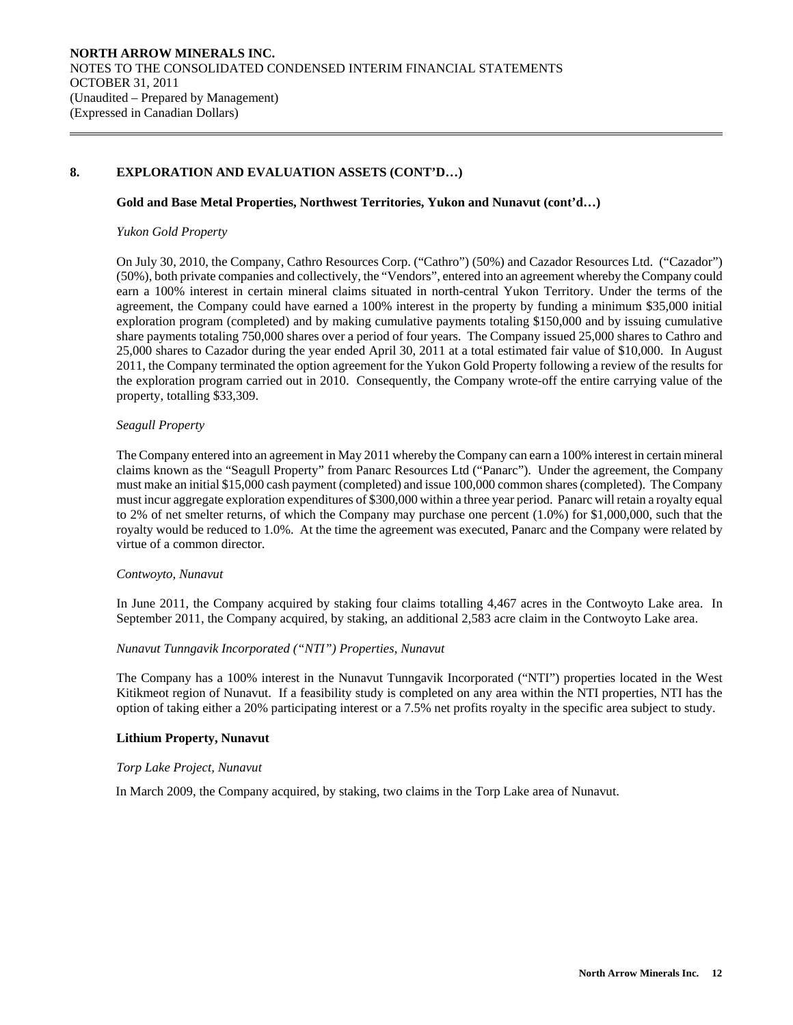# **8. EXPLORATION AND EVALUATION ASSETS (CONT'D…)**

### **Gold and Base Metal Properties, Northwest Territories, Yukon and Nunavut (cont'd…)**

### *Yukon Gold Property*

 $\overline{a}$ 

On July 30, 2010, the Company, Cathro Resources Corp. ("Cathro") (50%) and Cazador Resources Ltd. ("Cazador") (50%), both private companies and collectively, the "Vendors", entered into an agreement whereby the Company could earn a 100% interest in certain mineral claims situated in north-central Yukon Territory. Under the terms of the agreement, the Company could have earned a 100% interest in the property by funding a minimum \$35,000 initial exploration program (completed) and by making cumulative payments totaling \$150,000 and by issuing cumulative share payments totaling 750,000 shares over a period of four years. The Company issued 25,000 shares to Cathro and 25,000 shares to Cazador during the year ended April 30, 2011 at a total estimated fair value of \$10,000. In August 2011, the Company terminated the option agreement for the Yukon Gold Property following a review of the results for the exploration program carried out in 2010. Consequently, the Company wrote-off the entire carrying value of the property, totalling \$33,309.

#### *Seagull Property*

The Company entered into an agreement in May 2011 whereby the Company can earn a 100% interest in certain mineral claims known as the "Seagull Property" from Panarc Resources Ltd ("Panarc"). Under the agreement, the Company must make an initial \$15,000 cash payment (completed) and issue 100,000 common shares (completed). The Company must incur aggregate exploration expenditures of \$300,000 within a three year period. Panarc will retain a royalty equal to 2% of net smelter returns, of which the Company may purchase one percent (1.0%) for \$1,000,000, such that the royalty would be reduced to 1.0%. At the time the agreement was executed, Panarc and the Company were related by virtue of a common director.

#### *Contwoyto, Nunavut*

In June 2011, the Company acquired by staking four claims totalling 4,467 acres in the Contwoyto Lake area. In September 2011, the Company acquired, by staking, an additional 2,583 acre claim in the Contwoyto Lake area.

## *Nunavut Tunngavik Incorporated ("NTI") Properties, Nunavut*

The Company has a 100% interest in the Nunavut Tunngavik Incorporated ("NTI") properties located in the West Kitikmeot region of Nunavut. If a feasibility study is completed on any area within the NTI properties, NTI has the option of taking either a 20% participating interest or a 7.5% net profits royalty in the specific area subject to study.

## **Lithium Property, Nunavut**

#### *Torp Lake Project, Nunavut*

In March 2009, the Company acquired, by staking, two claims in the Torp Lake area of Nunavut.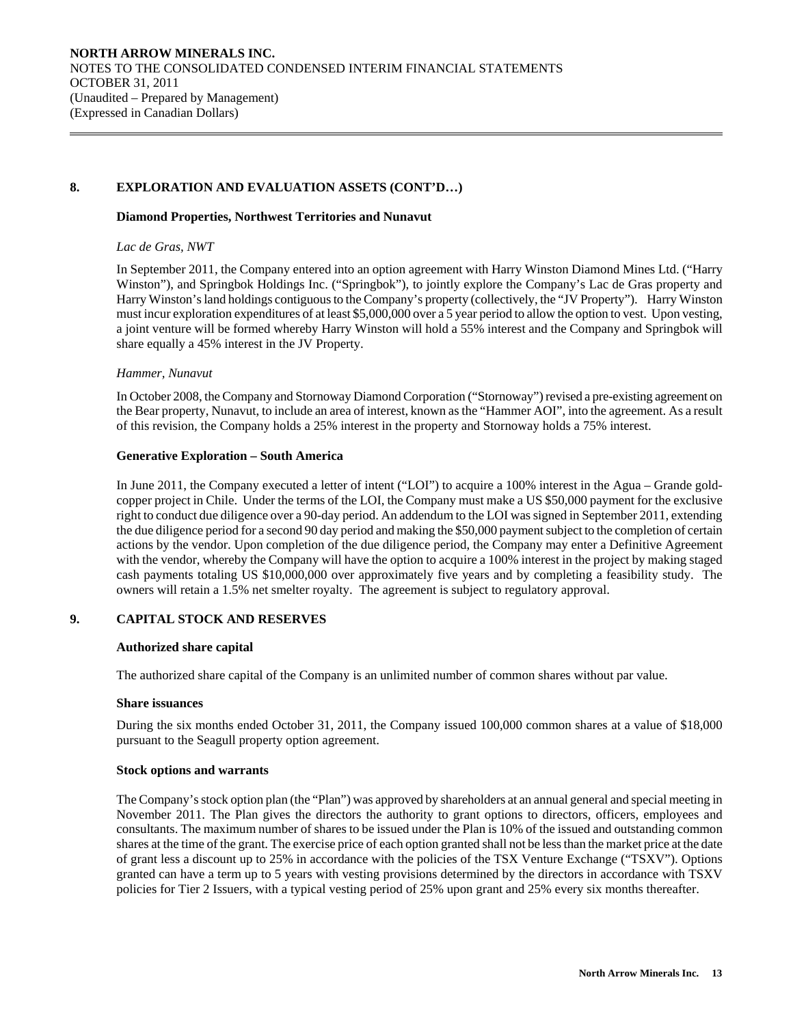# **8. EXPLORATION AND EVALUATION ASSETS (CONT'D…)**

### **Diamond Properties, Northwest Territories and Nunavut**

### *Lac de Gras, NWT*

 $\overline{a}$ 

In September 2011, the Company entered into an option agreement with Harry Winston Diamond Mines Ltd. ("Harry Winston"), and Springbok Holdings Inc. ("Springbok"), to jointly explore the Company's Lac de Gras property and Harry Winston's land holdings contiguous to the Company's property (collectively, the "JV Property"). Harry Winston must incur exploration expenditures of at least \$5,000,000 over a 5 year period to allow the option to vest. Upon vesting, a joint venture will be formed whereby Harry Winston will hold a 55% interest and the Company and Springbok will share equally a 45% interest in the JV Property.

## *Hammer, Nunavut*

In October 2008, the Company and Stornoway Diamond Corporation ("Stornoway") revised a pre-existing agreement on the Bear property, Nunavut, to include an area of interest, known as the "Hammer AOI", into the agreement. As a result of this revision, the Company holds a 25% interest in the property and Stornoway holds a 75% interest.

## **Generative Exploration – South America**

In June 2011, the Company executed a letter of intent ("LOI") to acquire a 100% interest in the Agua – Grande goldcopper project in Chile. Under the terms of the LOI, the Company must make a US \$50,000 payment for the exclusive right to conduct due diligence over a 90-day period. An addendum to the LOI was signed in September 2011, extending the due diligence period for a second 90 day period and making the \$50,000 payment subject to the completion of certain actions by the vendor. Upon completion of the due diligence period, the Company may enter a Definitive Agreement with the vendor, whereby the Company will have the option to acquire a 100% interest in the project by making staged cash payments totaling US \$10,000,000 over approximately five years and by completing a feasibility study. The owners will retain a 1.5% net smelter royalty. The agreement is subject to regulatory approval.

# **9. CAPITAL STOCK AND RESERVES**

#### **Authorized share capital**

The authorized share capital of the Company is an unlimited number of common shares without par value.

#### **Share issuances**

During the six months ended October 31, 2011, the Company issued 100,000 common shares at a value of \$18,000 pursuant to the Seagull property option agreement.

#### **Stock options and warrants**

The Company's stock option plan (the "Plan") was approved by shareholders at an annual general and special meeting in November 2011. The Plan gives the directors the authority to grant options to directors, officers, employees and consultants. The maximum number of shares to be issued under the Plan is 10% of the issued and outstanding common shares at the time of the grant. The exercise price of each option granted shall not be less than the market price at the date of grant less a discount up to 25% in accordance with the policies of the TSX Venture Exchange ("TSXV"). Options granted can have a term up to 5 years with vesting provisions determined by the directors in accordance with TSXV policies for Tier 2 Issuers, with a typical vesting period of 25% upon grant and 25% every six months thereafter.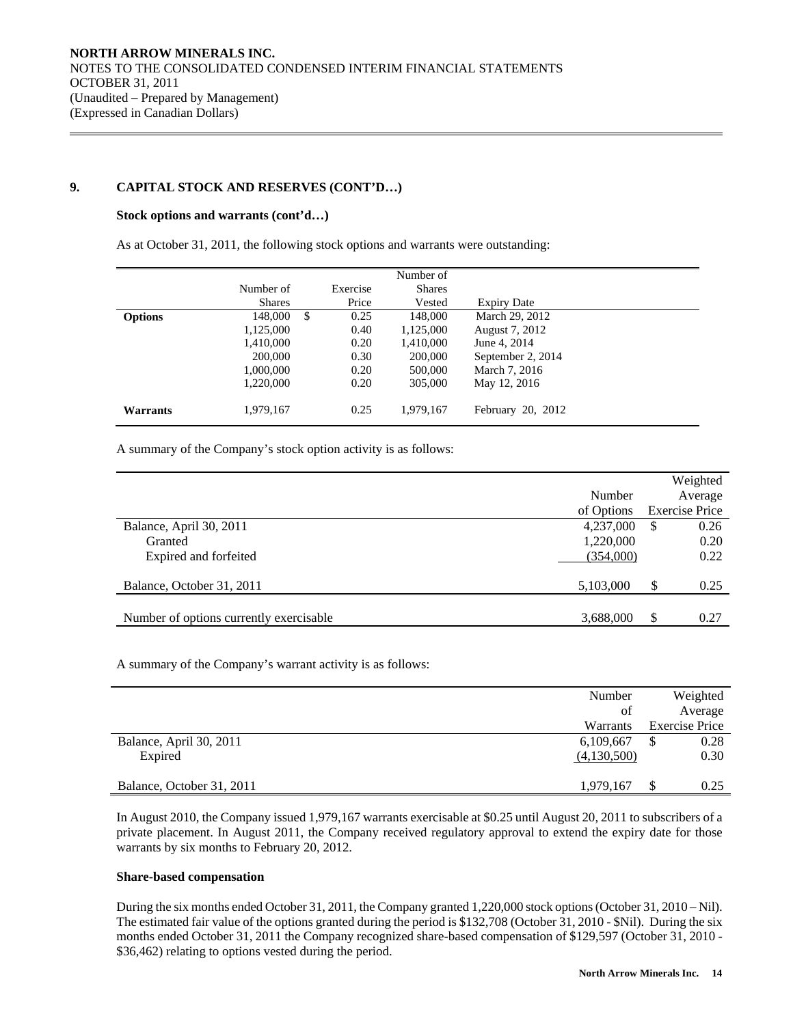# **9. CAPITAL STOCK AND RESERVES (CONT'D…)**

#### **Stock options and warrants (cont'd…)**

 $\overline{a}$ 

As at October 31, 2011, the following stock options and warrants were outstanding:

|                 |               |            | Number of     |                    |
|-----------------|---------------|------------|---------------|--------------------|
|                 | Number of     | Exercise   | <b>Shares</b> |                    |
|                 | <b>Shares</b> | Price      | Vested        | <b>Expiry Date</b> |
| <b>Options</b>  | 148,000       | \$<br>0.25 | 148,000       | March 29, 2012     |
|                 | 1,125,000     | 0.40       | 1,125,000     | August 7, 2012     |
|                 | 1,410,000     | 0.20       | 1,410,000     | June 4, 2014       |
|                 | 200,000       | 0.30       | 200,000       | September 2, 2014  |
|                 | 1,000,000     | 0.20       | 500,000       | March 7, 2016      |
|                 | 1.220.000     | 0.20       | 305,000       | May 12, 2016       |
| <b>Warrants</b> | 1,979,167     | 0.25       | 1,979,167     | February 20, 2012  |

A summary of the Company's stock option activity is as follows:

|            |     | Weighted              |
|------------|-----|-----------------------|
| Number     |     | Average               |
| of Options |     | <b>Exercise Price</b> |
| 4,237,000  | \$  | 0.26                  |
| 1,220,000  |     | 0.20                  |
| (354,000)  |     | 0.22                  |
|            |     |                       |
| 5,103,000  | \$  | 0.25                  |
|            |     |                       |
| 3,688,000  | \$. | 0.27                  |
|            |     |                       |

A summary of the Company's warrant activity is as follows:

|                           | Number      | Weighted              |
|---------------------------|-------------|-----------------------|
|                           | οf          | Average               |
|                           | Warrants    | <b>Exercise Price</b> |
| Balance, April 30, 2011   | 6,109,667   | 0.28                  |
| Expired                   | (4,130,500) | 0.30                  |
|                           |             |                       |
| Balance, October 31, 2011 | 1,979,167   | 0.25                  |

 In August 2010, the Company issued 1,979,167 warrants exercisable at \$0.25 until August 20, 2011 to subscribers of a private placement. In August 2011, the Company received regulatory approval to extend the expiry date for those warrants by six months to February 20, 2012.

## **Share-based compensation**

 During the six months ended October 31, 2011, the Company granted 1,220,000 stock options (October 31, 2010 – Nil). The estimated fair value of the options granted during the period is \$132,708 (October 31, 2010 - \$Nil). During the six months ended October 31, 2011 the Company recognized share-based compensation of \$129,597 (October 31, 2010 - \$36,462) relating to options vested during the period.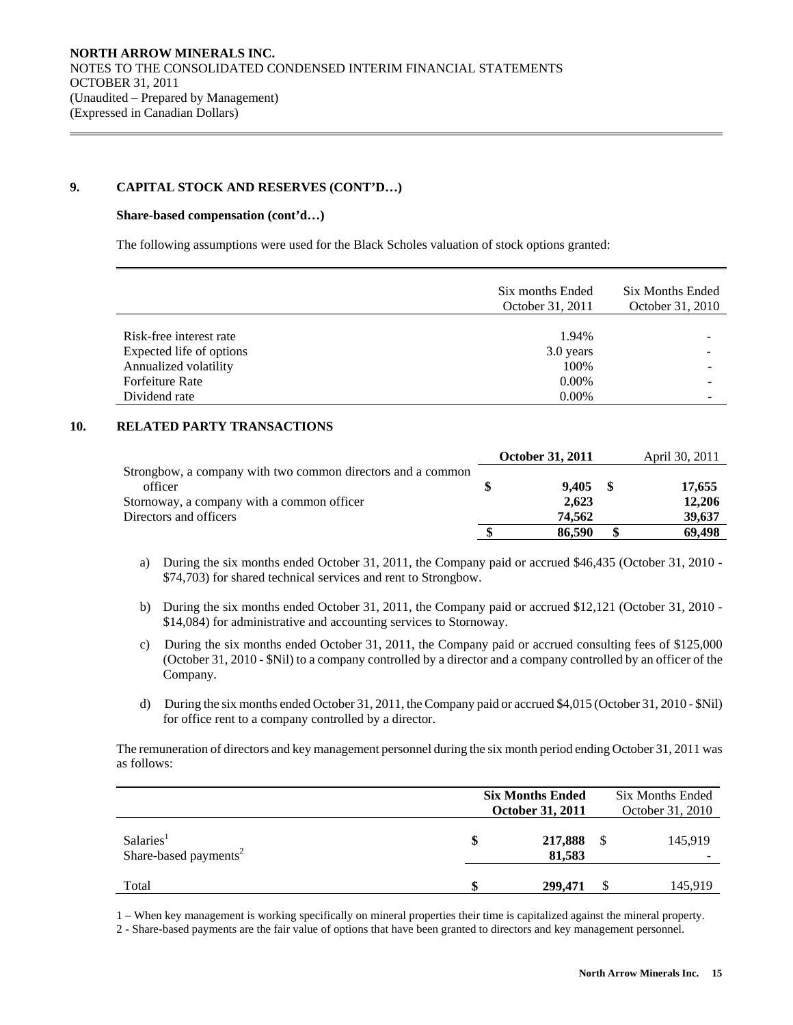# **9. CAPITAL STOCK AND RESERVES (CONT'D…)**

### **Share-based compensation (cont'd…)**

 $\overline{a}$ 

The following assumptions were used for the Black Scholes valuation of stock options granted:

|                          | Six months Ended<br>October 31, 2011 | Six Months Ended<br>October 31, 2010 |
|--------------------------|--------------------------------------|--------------------------------------|
|                          |                                      |                                      |
| Risk-free interest rate  | 1.94%                                |                                      |
| Expected life of options | 3.0 years                            |                                      |
| Annualized volatility    | 100%                                 |                                      |
| <b>Forfeiture Rate</b>   | $0.00\%$                             |                                      |
| Dividend rate            | $0.00\%$                             |                                      |

# **10. RELATED PARTY TRANSACTIONS**

|                                                             | <b>October 31, 2011</b> |      | April 30, 2011 |
|-------------------------------------------------------------|-------------------------|------|----------------|
| Strongbow, a company with two common directors and a common |                         |      |                |
| officer                                                     | 9.405                   | - \$ | 17,655         |
| Stornoway, a company with a common officer                  | 2.623                   |      | 12,206         |
| Directors and officers                                      | 74.562                  |      | 39,637         |
|                                                             | 86.590                  |      | 69.498         |

- a) During the six months ended October 31, 2011, the Company paid or accrued \$46,435 (October 31, 2010 \$74,703) for shared technical services and rent to Strongbow.
- b) During the six months ended October 31, 2011, the Company paid or accrued \$12,121 (October 31, 2010 \$14,084) for administrative and accounting services to Stornoway.
- c) During the six months ended October 31, 2011, the Company paid or accrued consulting fees of \$125,000 (October 31, 2010 - \$Nil) to a company controlled by a director and a company controlled by an officer of the Company.
- d) During the six months ended October 31, 2011, the Company paid or accrued \$4,015 (October 31, 2010 \$Nil) for office rent to a company controlled by a director.

 The remuneration of directors and key management personnel during the six month period ending October 31, 2011 was as follows:

|                                                            | <b>Six Months Ended</b><br><b>October 31, 2011</b> | <b>Six Months Ended</b><br>October 31, 2010 |         |  |  |
|------------------------------------------------------------|----------------------------------------------------|---------------------------------------------|---------|--|--|
| Salaries <sup>1</sup><br>Share-based payments <sup>2</sup> | \$<br>217,888<br>81,583                            | \$                                          | 145,919 |  |  |
| Total                                                      | \$<br>299,471                                      |                                             | 145,919 |  |  |

1 – When key management is working specifically on mineral properties their time is capitalized against the mineral property.

2 - Share-based payments are the fair value of options that have been granted to directors and key management personnel.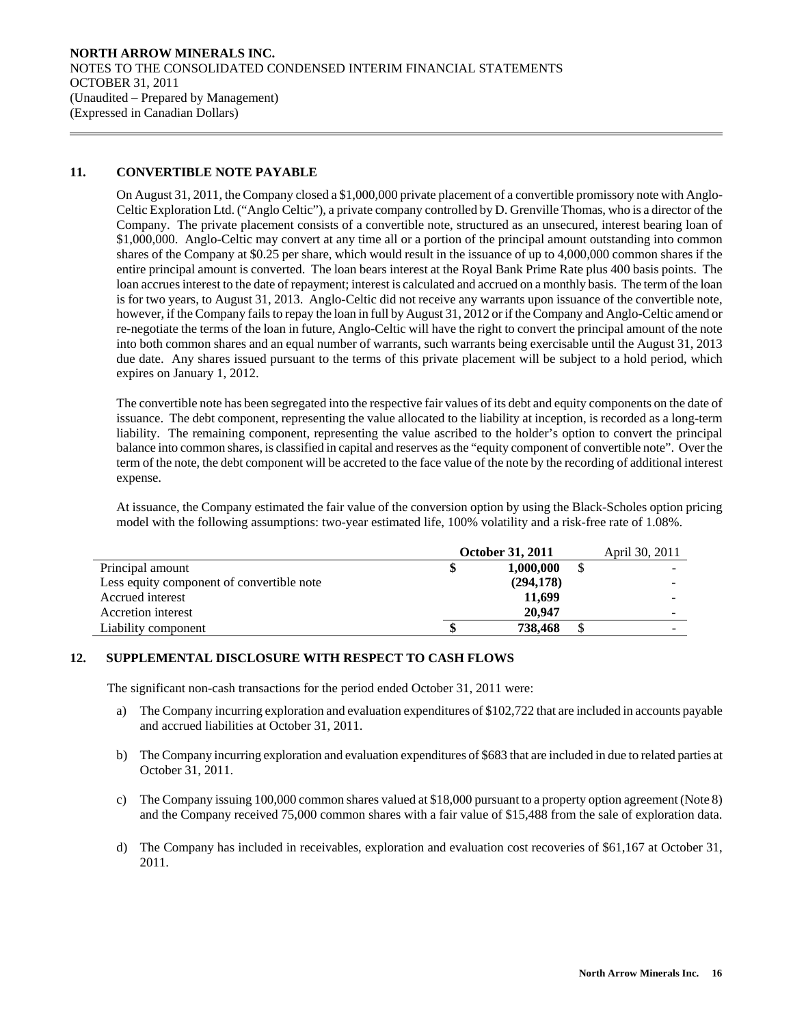# **11. CONVERTIBLE NOTE PAYABLE**

 $\overline{a}$ 

 On August 31, 2011, the Company closed a \$1,000,000 private placement of a convertible promissory note with Anglo-Celtic Exploration Ltd. ("Anglo Celtic"), a private company controlled by D. Grenville Thomas, who is a director of the Company. The private placement consists of a convertible note, structured as an unsecured, interest bearing loan of \$1,000,000. Anglo-Celtic may convert at any time all or a portion of the principal amount outstanding into common shares of the Company at \$0.25 per share, which would result in the issuance of up to 4,000,000 common shares if the entire principal amount is converted. The loan bears interest at the Royal Bank Prime Rate plus 400 basis points. The loan accrues interest to the date of repayment; interest is calculated and accrued on a monthly basis. The term of the loan is for two years, to August 31, 2013. Anglo-Celtic did not receive any warrants upon issuance of the convertible note, however, if the Company fails to repay the loan in full by August 31, 2012 or if the Company and Anglo-Celtic amend or re-negotiate the terms of the loan in future, Anglo-Celtic will have the right to convert the principal amount of the note into both common shares and an equal number of warrants, such warrants being exercisable until the August 31, 2013 due date. Any shares issued pursuant to the terms of this private placement will be subject to a hold period, which expires on January 1, 2012.

 The convertible note has been segregated into the respective fair values of its debt and equity components on the date of issuance. The debt component, representing the value allocated to the liability at inception, is recorded as a long-term liability. The remaining component, representing the value ascribed to the holder's option to convert the principal balance into common shares, is classified in capital and reserves as the "equity component of convertible note". Over the term of the note, the debt component will be accreted to the face value of the note by the recording of additional interest expense.

 At issuance, the Company estimated the fair value of the conversion option by using the Black-Scholes option pricing model with the following assumptions: two-year estimated life, 100% volatility and a risk-free rate of 1.08%.

|                                           | <b>October 31, 2011</b> | April 30, 2011 |  |
|-------------------------------------------|-------------------------|----------------|--|
| Principal amount                          |                         | 1,000,000      |  |
| Less equity component of convertible note |                         | (294, 178)     |  |
| Accrued interest                          |                         | 11.699         |  |
| Accretion interest                        |                         | 20,947         |  |
| Liability component                       |                         | 738,468        |  |

## **12. SUPPLEMENTAL DISCLOSURE WITH RESPECT TO CASH FLOWS**

The significant non-cash transactions for the period ended October 31, 2011 were:

- a) The Company incurring exploration and evaluation expenditures of \$102,722 that are included in accounts payable and accrued liabilities at October 31, 2011.
- b) The Company incurring exploration and evaluation expenditures of \$683 that are included in due to related parties at October 31, 2011.
- c) The Company issuing 100,000 common shares valued at \$18,000 pursuant to a property option agreement (Note 8) and the Company received 75,000 common shares with a fair value of \$15,488 from the sale of exploration data.
- d) The Company has included in receivables, exploration and evaluation cost recoveries of \$61,167 at October 31, 2011.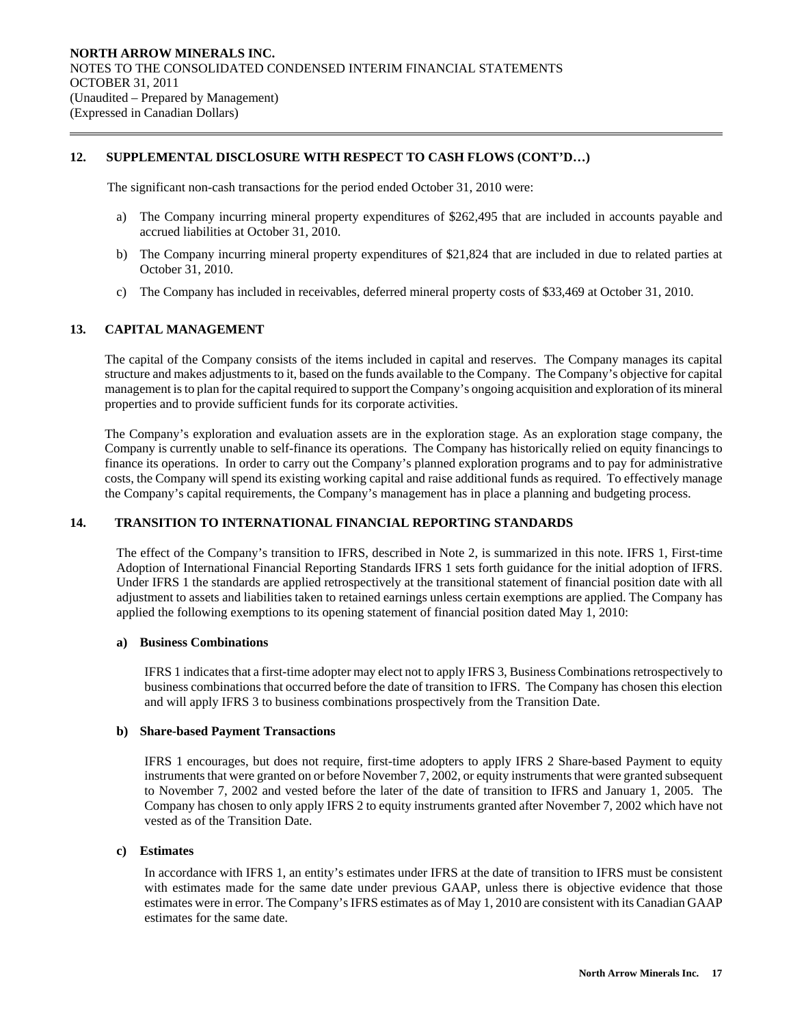# **12. SUPPLEMENTAL DISCLOSURE WITH RESPECT TO CASH FLOWS (CONT'D…)**

The significant non-cash transactions for the period ended October 31, 2010 were:

- a) The Company incurring mineral property expenditures of \$262,495 that are included in accounts payable and accrued liabilities at October 31, 2010.
- b) The Company incurring mineral property expenditures of \$21,824 that are included in due to related parties at October 31, 2010.
- c) The Company has included in receivables, deferred mineral property costs of \$33,469 at October 31, 2010.

# **13. CAPITAL MANAGEMENT**

 $\overline{a}$ 

 The capital of the Company consists of the items included in capital and reserves. The Company manages its capital structure and makes adjustments to it, based on the funds available to the Company. The Company's objective for capital management is to plan for the capital required to support the Company's ongoing acquisition and exploration of its mineral properties and to provide sufficient funds for its corporate activities.

 The Company's exploration and evaluation assets are in the exploration stage. As an exploration stage company, the Company is currently unable to self-finance its operations. The Company has historically relied on equity financings to finance its operations. In order to carry out the Company's planned exploration programs and to pay for administrative costs, the Company will spend its existing working capital and raise additional funds as required. To effectively manage the Company's capital requirements, the Company's management has in place a planning and budgeting process.

## **14. TRANSITION TO INTERNATIONAL FINANCIAL REPORTING STANDARDS**

The effect of the Company's transition to IFRS, described in Note 2, is summarized in this note. IFRS 1, First-time Adoption of International Financial Reporting Standards IFRS 1 sets forth guidance for the initial adoption of IFRS. Under IFRS 1 the standards are applied retrospectively at the transitional statement of financial position date with all adjustment to assets and liabilities taken to retained earnings unless certain exemptions are applied. The Company has applied the following exemptions to its opening statement of financial position dated May 1, 2010:

## **a) Business Combinations**

IFRS 1 indicates that a first-time adopter may elect not to apply IFRS 3, Business Combinations retrospectively to business combinations that occurred before the date of transition to IFRS. The Company has chosen this election and will apply IFRS 3 to business combinations prospectively from the Transition Date.

#### **b) Share-based Payment Transactions**

IFRS 1 encourages, but does not require, first-time adopters to apply IFRS 2 Share-based Payment to equity instruments that were granted on or before November 7, 2002, or equity instruments that were granted subsequent to November 7, 2002 and vested before the later of the date of transition to IFRS and January 1, 2005. The Company has chosen to only apply IFRS 2 to equity instruments granted after November 7, 2002 which have not vested as of the Transition Date.

# **c) Estimates**

In accordance with IFRS 1, an entity's estimates under IFRS at the date of transition to IFRS must be consistent with estimates made for the same date under previous GAAP, unless there is objective evidence that those estimates were in error. The Company's IFRS estimates as of May 1, 2010 are consistent with its Canadian GAAP estimates for the same date.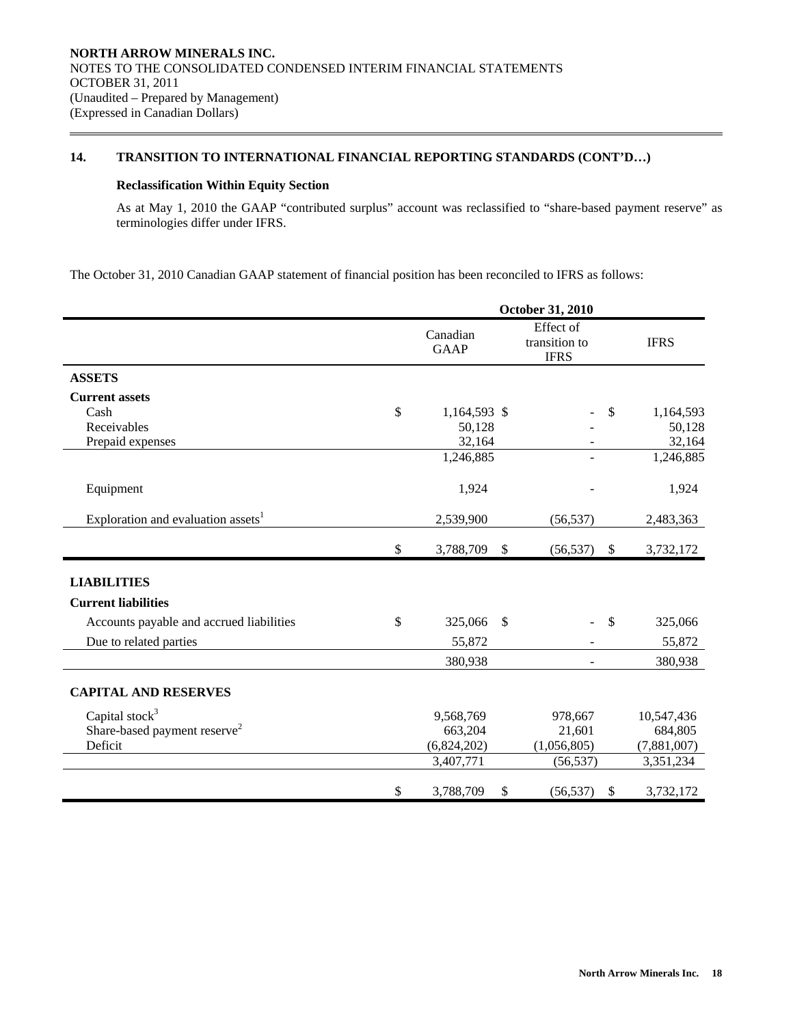# **14. TRANSITION TO INTERNATIONAL FINANCIAL REPORTING STANDARDS (CONT'D…)**

# **Reclassification Within Equity Section**

 $\overline{a}$ 

As at May 1, 2010 the GAAP "contributed surplus" account was reclassified to "share-based payment reserve" as terminologies differ under IFRS.

The October 31, 2010 Canadian GAAP statement of financial position has been reconciled to IFRS as follows:

|                                                | October 31, 2010        |                           |                                           |               |             |  |  |
|------------------------------------------------|-------------------------|---------------------------|-------------------------------------------|---------------|-------------|--|--|
|                                                | Canadian<br><b>GAAP</b> |                           | Effect of<br>transition to<br><b>IFRS</b> |               | <b>IFRS</b> |  |  |
| <b>ASSETS</b>                                  |                         |                           |                                           |               |             |  |  |
| <b>Current assets</b>                          |                         |                           |                                           |               |             |  |  |
| Cash                                           | \$<br>1,164,593 \$      |                           |                                           | $\mathcal{S}$ | 1,164,593   |  |  |
| Receivables                                    | 50,128                  |                           |                                           |               | 50,128      |  |  |
| Prepaid expenses                               | 32,164                  |                           |                                           |               | 32,164      |  |  |
|                                                | 1,246,885               |                           | 1,246,885                                 |               |             |  |  |
| Equipment                                      | 1,924                   |                           |                                           |               | 1,924       |  |  |
| Exploration and evaluation assets <sup>1</sup> | 2,539,900               |                           | (56, 537)                                 |               | 2,483,363   |  |  |
|                                                | \$<br>3,788,709         | $\boldsymbol{\mathsf{S}}$ | (56, 537)                                 | - \$          | 3,732,172   |  |  |
| <b>LIABILITIES</b>                             |                         |                           |                                           |               |             |  |  |
| <b>Current liabilities</b>                     |                         |                           |                                           |               |             |  |  |
| Accounts payable and accrued liabilities       | \$<br>325,066           | \$                        |                                           | $\mathcal{S}$ | 325,066     |  |  |
| Due to related parties                         | 55,872                  |                           |                                           |               | 55,872      |  |  |
|                                                | 380,938                 |                           |                                           |               | 380,938     |  |  |
| <b>CAPITAL AND RESERVES</b>                    |                         |                           |                                           |               |             |  |  |
| Capital stock $3$                              | 9,568,769               |                           | 978,667                                   |               | 10,547,436  |  |  |
| Share-based payment reserve <sup>2</sup>       | 663,204                 |                           | 21,601                                    |               | 684,805     |  |  |
| Deficit                                        | (6,824,202)             |                           | (1,056,805)                               |               | (7,881,007) |  |  |
|                                                | 3,407,771               |                           | (56, 537)                                 |               | 3,351,234   |  |  |
|                                                | \$<br>3,788,709         | \$                        | (56, 537)                                 | $\mathcal{S}$ | 3,732,172   |  |  |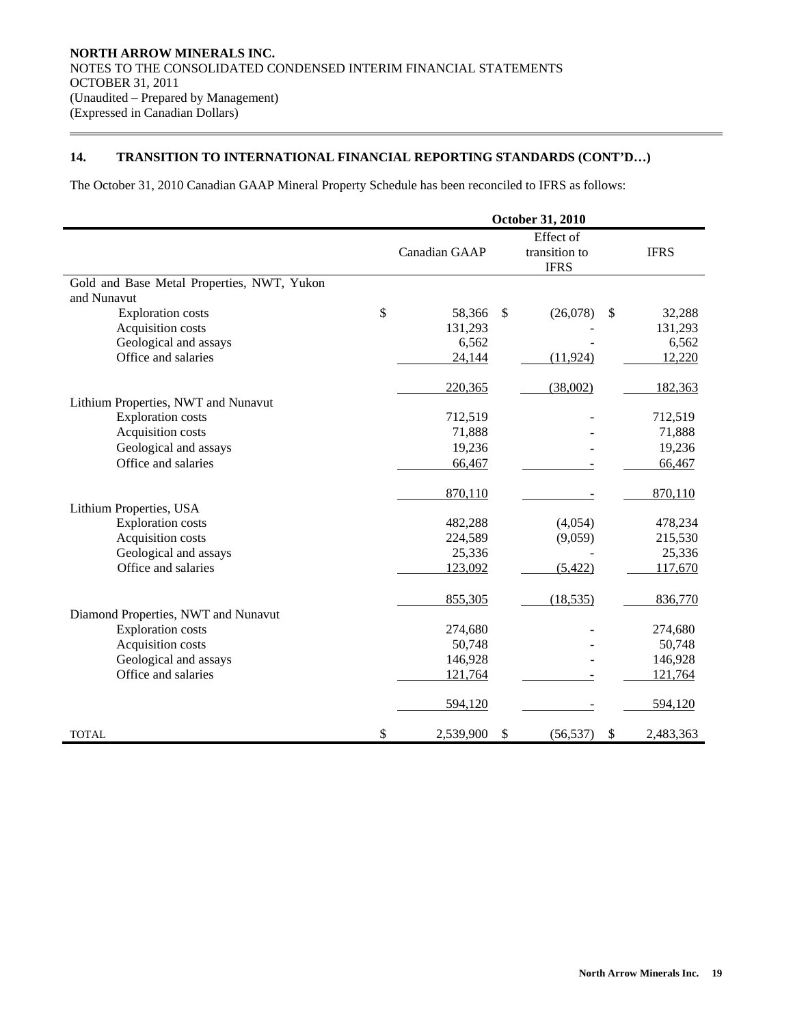# **14. TRANSITION TO INTERNATIONAL FINANCIAL REPORTING STANDARDS (CONT'D…)**

The October 31, 2010 Canadian GAAP Mineral Property Schedule has been reconciled to IFRS as follows:

|                                            | October 31, 2010 |                           |                                           |              |             |  |  |
|--------------------------------------------|------------------|---------------------------|-------------------------------------------|--------------|-------------|--|--|
|                                            | Canadian GAAP    |                           | Effect of<br>transition to<br><b>IFRS</b> |              | <b>IFRS</b> |  |  |
| Gold and Base Metal Properties, NWT, Yukon |                  |                           |                                           |              |             |  |  |
| and Nunavut                                |                  |                           |                                           |              |             |  |  |
| <b>Exploration costs</b>                   | \$<br>58,366     | $\mathbb{S}$              | (26,078)                                  | $\mathbb{S}$ | 32,288      |  |  |
| Acquisition costs                          | 131,293          |                           |                                           |              | 131,293     |  |  |
| Geological and assays                      | 6,562            |                           |                                           |              | 6,562       |  |  |
| Office and salaries                        | 24,144           |                           | (11, 924)                                 |              | 12,220      |  |  |
|                                            | 220,365          |                           | (38,002)                                  |              | 182,363     |  |  |
| Lithium Properties, NWT and Nunavut        |                  |                           |                                           |              |             |  |  |
| <b>Exploration costs</b>                   | 712,519          |                           |                                           |              | 712,519     |  |  |
| Acquisition costs                          | 71,888           |                           |                                           |              | 71,888      |  |  |
| Geological and assays                      | 19,236           |                           |                                           |              | 19,236      |  |  |
| Office and salaries                        | 66,467           |                           |                                           |              | 66,467      |  |  |
|                                            | 870,110          |                           |                                           |              | 870,110     |  |  |
| Lithium Properties, USA                    |                  |                           |                                           |              |             |  |  |
| <b>Exploration</b> costs                   | 482,288          |                           | (4,054)                                   |              | 478,234     |  |  |
| Acquisition costs                          | 224,589          |                           | (9,059)                                   |              | 215,530     |  |  |
| Geological and assays                      | 25,336           |                           |                                           |              | 25,336      |  |  |
| Office and salaries                        | 123,092          |                           | (5, 422)                                  |              | 117,670     |  |  |
|                                            | 855,305          |                           | (18, 535)                                 |              | 836,770     |  |  |
| Diamond Properties, NWT and Nunavut        |                  |                           |                                           |              |             |  |  |
| <b>Exploration costs</b>                   | 274,680          |                           |                                           |              | 274,680     |  |  |
| Acquisition costs                          | 50,748           |                           |                                           |              | 50,748      |  |  |
| Geological and assays                      | 146,928          |                           |                                           |              | 146,928     |  |  |
| Office and salaries                        | 121,764          |                           |                                           |              | 121,764     |  |  |
|                                            | 594,120          |                           |                                           |              | 594,120     |  |  |
| <b>TOTAL</b>                               | \$<br>2,539,900  | $\boldsymbol{\mathsf{S}}$ | (56, 537)                                 | \$           | 2,483,363   |  |  |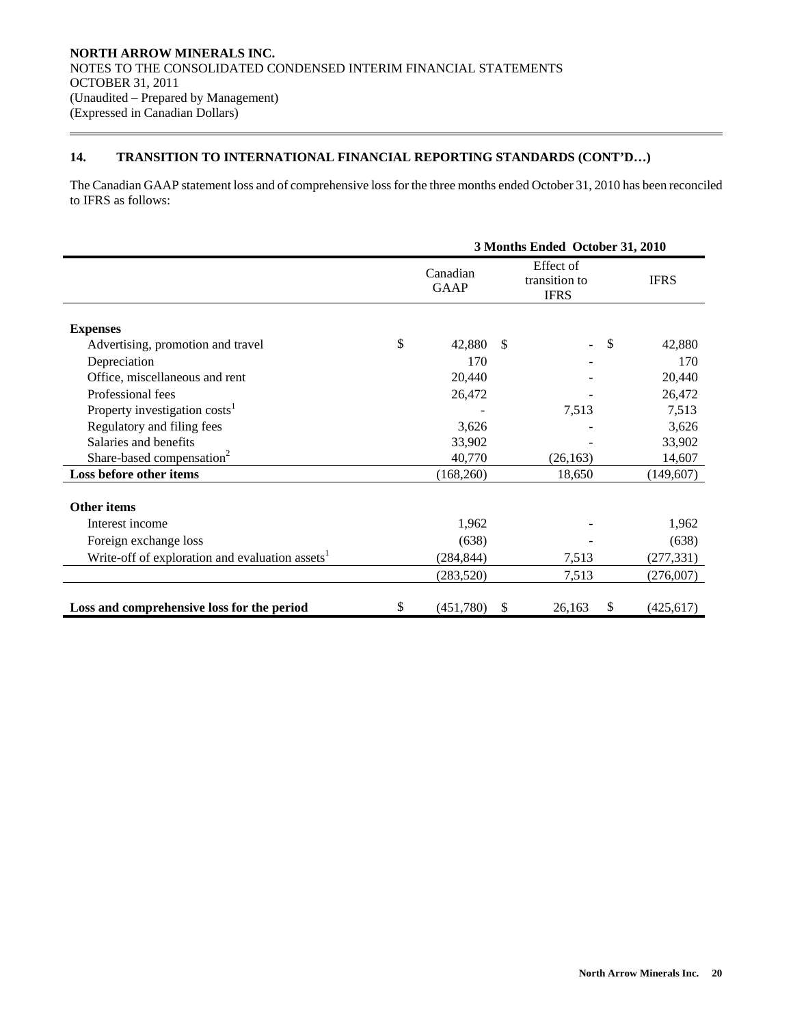# **14. TRANSITION TO INTERNATIONAL FINANCIAL REPORTING STANDARDS (CONT'D…)**

The Canadian GAAP statement loss and of comprehensive loss for the three months ended October 31, 2010 has been reconciled to IFRS as follows:

|                                                             | 3 Months Ended October 31, 2010 |              |                                           |                           |             |  |  |
|-------------------------------------------------------------|---------------------------------|--------------|-------------------------------------------|---------------------------|-------------|--|--|
|                                                             | Canadian<br><b>GAAP</b>         |              | Effect of<br>transition to<br><b>IFRS</b> |                           | <b>IFRS</b> |  |  |
| <b>Expenses</b>                                             |                                 |              |                                           |                           |             |  |  |
| Advertising, promotion and travel                           | \$<br>42,880                    | -S           |                                           | $\boldsymbol{\mathsf{S}}$ | 42,880      |  |  |
| Depreciation                                                | 170                             |              |                                           |                           | 170         |  |  |
| Office, miscellaneous and rent                              | 20,440                          |              |                                           |                           | 20,440      |  |  |
| Professional fees                                           | 26,472                          |              |                                           |                           | 26,472      |  |  |
| Property investigation costs <sup>1</sup>                   |                                 |              | 7,513                                     |                           | 7,513       |  |  |
| Regulatory and filing fees                                  | 3,626                           |              |                                           |                           | 3,626       |  |  |
| Salaries and benefits                                       | 33,902                          |              |                                           |                           | 33,902      |  |  |
| Share-based compensation <sup>2</sup>                       | 40,770                          |              | (26, 163)                                 |                           | 14,607      |  |  |
| Loss before other items                                     | (168,260)                       |              | 18,650                                    |                           | (149,607)   |  |  |
| <b>Other items</b>                                          |                                 |              |                                           |                           |             |  |  |
| Interest income                                             | 1,962                           |              |                                           |                           | 1,962       |  |  |
| Foreign exchange loss                                       | (638)                           |              |                                           |                           | (638)       |  |  |
| Write-off of exploration and evaluation assets <sup>1</sup> | (284, 844)                      |              | 7,513                                     |                           | (277, 331)  |  |  |
|                                                             | (283, 520)                      |              | 7,513                                     |                           | (276,007)   |  |  |
| Loss and comprehensive loss for the period                  | \$<br>(451,780)                 | $\mathbb{S}$ | 26,163                                    | \$                        | (425, 617)  |  |  |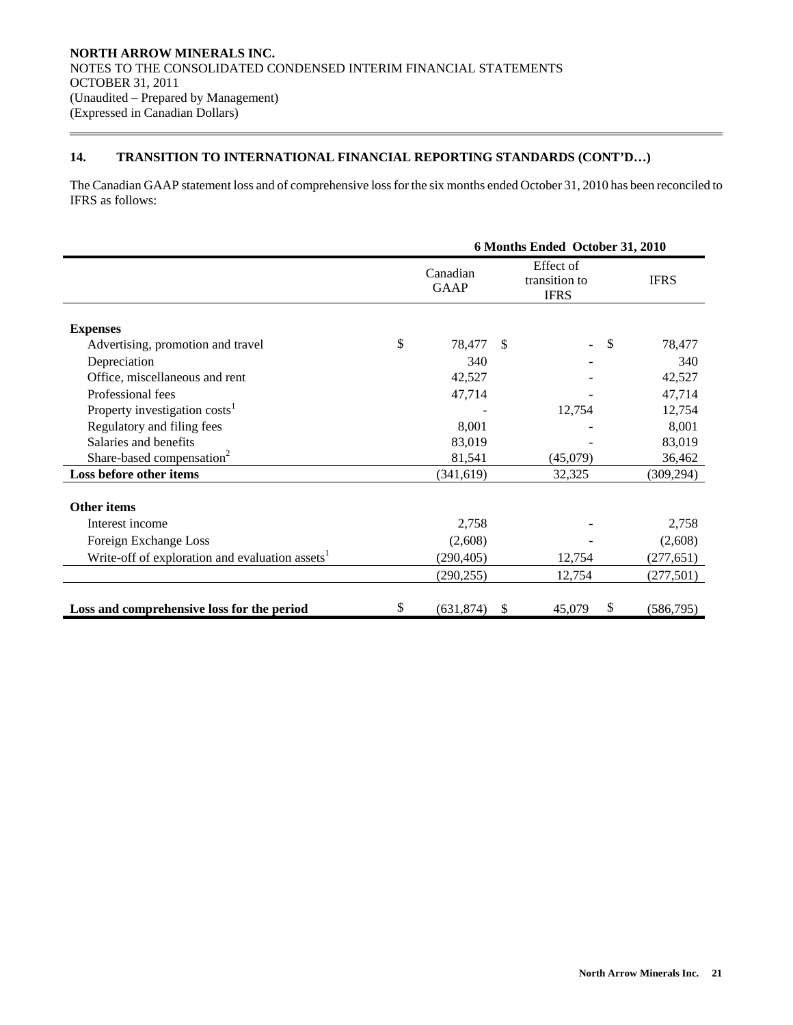# **14. TRANSITION TO INTERNATIONAL FINANCIAL REPORTING STANDARDS (CONT'D…)**

The Canadian GAAP statement loss and of comprehensive loss for the six months ended October 31, 2010 has been reconciled to IFRS as follows:

|                                                             |    | 6 Months Ended October 31, 2010 |               |             |                           |                            |  |             |
|-------------------------------------------------------------|----|---------------------------------|---------------|-------------|---------------------------|----------------------------|--|-------------|
|                                                             |    | Canadian<br><b>GAAP</b>         |               | <b>IFRS</b> |                           | Effect of<br>transition to |  | <b>IFRS</b> |
| <b>Expenses</b>                                             |    |                                 |               |             |                           |                            |  |             |
| Advertising, promotion and travel                           | \$ | 78,477                          | $\mathcal{S}$ |             | $\boldsymbol{\mathsf{S}}$ | 78,477                     |  |             |
| Depreciation                                                |    | 340                             |               |             |                           | 340                        |  |             |
| Office, miscellaneous and rent                              |    | 42,527                          |               |             |                           | 42,527                     |  |             |
| Professional fees                                           |    | 47,714                          |               |             |                           | 47,714                     |  |             |
| Property investigation costs <sup>1</sup>                   |    |                                 |               | 12,754      | 12,754                    |                            |  |             |
| Regulatory and filing fees                                  |    | 8,001                           |               |             | 8,001                     |                            |  |             |
| Salaries and benefits                                       |    | 83,019                          |               |             |                           | 83,019                     |  |             |
| Share-based compensation <sup>2</sup>                       |    | 81,541                          |               | (45,079)    |                           | 36,462                     |  |             |
| Loss before other items                                     |    | (341, 619)                      |               | 32,325      |                           | (309, 294)                 |  |             |
| <b>Other items</b>                                          |    |                                 |               |             |                           |                            |  |             |
| Interest income                                             |    | 2,758                           |               |             |                           | 2,758                      |  |             |
| Foreign Exchange Loss                                       |    | (2,608)                         |               |             |                           | (2,608)                    |  |             |
| Write-off of exploration and evaluation assets <sup>1</sup> |    | (290, 405)                      |               | 12,754      |                           | (277, 651)                 |  |             |
|                                                             |    | (290, 255)                      |               | 12,754      |                           | (277,501)                  |  |             |
| Loss and comprehensive loss for the period                  | S  | (631, 874)                      | \$            | 45,079      | S                         | (586,795)                  |  |             |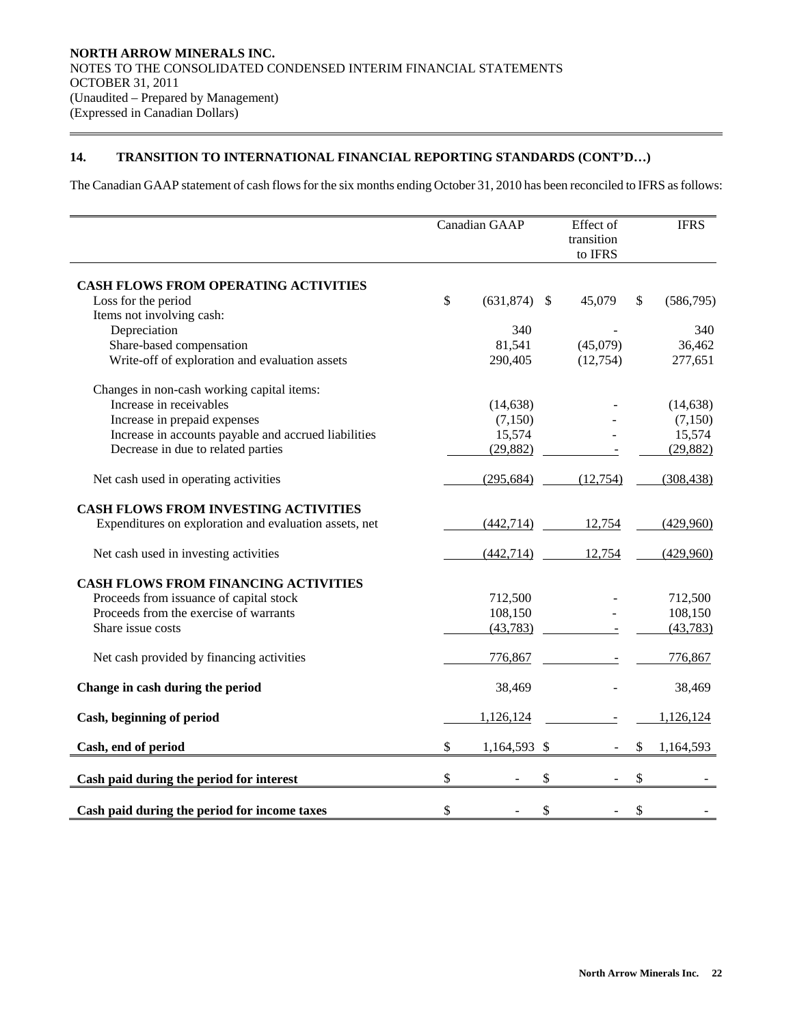# **14. TRANSITION TO INTERNATIONAL FINANCIAL REPORTING STANDARDS (CONT'D…)**

The Canadian GAAP statement of cash flows for the six months ending October 31, 2010 has been reconciled to IFRS as follows:

|                                                        | Canadian GAAP |              |    | Effect of<br>transition<br>to IFRS | <b>IFRS</b>     |
|--------------------------------------------------------|---------------|--------------|----|------------------------------------|-----------------|
| <b>CASH FLOWS FROM OPERATING ACTIVITIES</b>            |               |              |    |                                    |                 |
| Loss for the period                                    | \$            | (631, 874)   | S  | 45,079                             | \$<br>(586,795) |
| Items not involving cash:                              |               |              |    |                                    |                 |
| Depreciation                                           |               | 340          |    |                                    | 340             |
| Share-based compensation                               |               | 81,541       |    | (45,079)                           | 36,462          |
| Write-off of exploration and evaluation assets         |               | 290,405      |    | (12,754)                           | 277,651         |
| Changes in non-cash working capital items:             |               |              |    |                                    |                 |
| Increase in receivables                                |               | (14, 638)    |    |                                    | (14, 638)       |
| Increase in prepaid expenses                           |               | (7,150)      |    |                                    | (7,150)         |
| Increase in accounts payable and accrued liabilities   |               | 15,574       |    |                                    | 15,574          |
| Decrease in due to related parties                     |               | (29, 882)    |    |                                    | (29, 882)       |
| Net cash used in operating activities                  |               | (295, 684)   |    | (12,754)                           | (308, 438)      |
| <b>CASH FLOWS FROM INVESTING ACTIVITIES</b>            |               |              |    |                                    |                 |
| Expenditures on exploration and evaluation assets, net |               | (442, 714)   |    | 12,754                             | (429,960)       |
| Net cash used in investing activities                  |               | (442, 714)   |    | 12,754                             | (429,960)       |
| <b>CASH FLOWS FROM FINANCING ACTIVITIES</b>            |               |              |    |                                    |                 |
| Proceeds from issuance of capital stock                |               | 712,500      |    |                                    | 712,500         |
| Proceeds from the exercise of warrants                 |               | 108,150      |    |                                    | 108,150         |
| Share issue costs                                      |               | (43, 783)    |    |                                    | (43, 783)       |
| Net cash provided by financing activities              |               | 776,867      |    |                                    | 776,867         |
| Change in cash during the period                       |               | 38,469       |    |                                    | 38,469          |
| Cash, beginning of period                              |               | 1,126,124    |    |                                    | 1,126,124       |
| Cash, end of period                                    | \$            | 1,164,593 \$ |    |                                    | \$<br>1,164,593 |
| Cash paid during the period for interest               | \$            |              | \$ |                                    | \$              |
| Cash paid during the period for income taxes           | \$            |              | \$ |                                    | \$              |